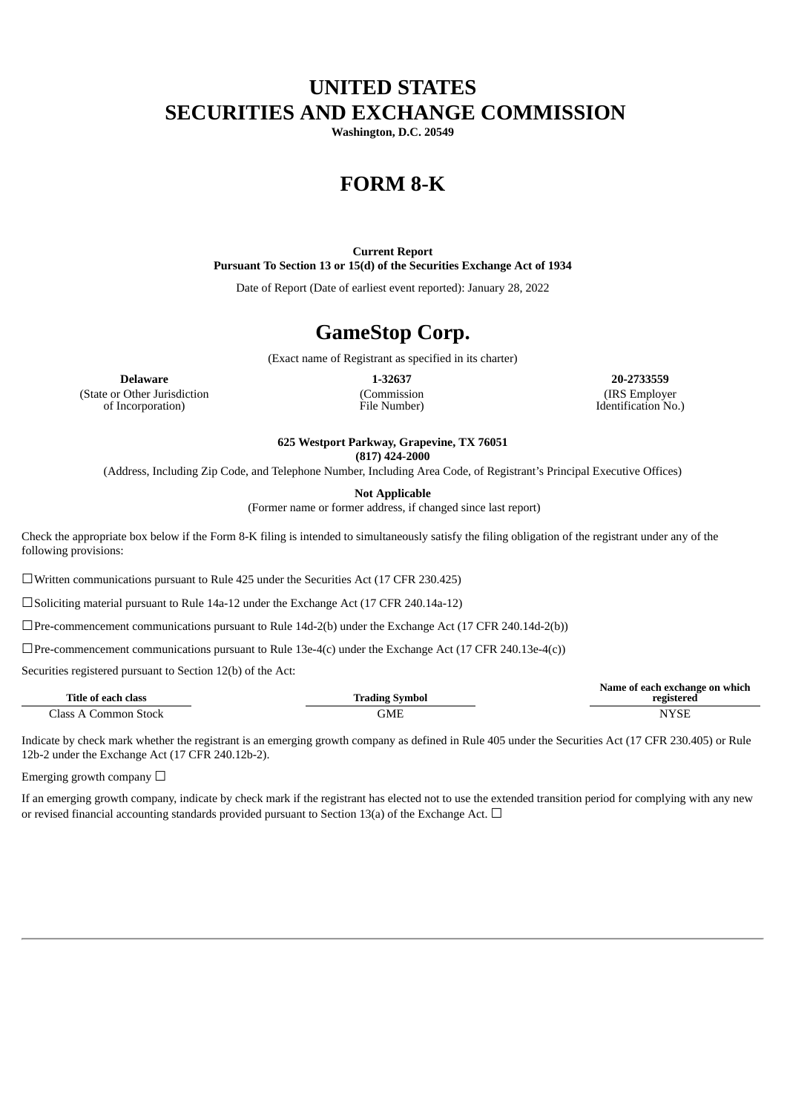## **UNITED STATES SECURITIES AND EXCHANGE COMMISSION**

**Washington, D.C. 20549**

# **FORM 8-K**

**Current Report Pursuant To Section 13 or 15(d) of the Securities Exchange Act of 1934**

Date of Report (Date of earliest event reported): January 28, 2022

## **GameStop Corp.**

(Exact name of Registrant as specified in its charter)

(State or Other Jurisdiction of Incorporation)

(Commission File Number)

**Delaware 1-32637 20-2733559** (IRS Employer Identification No.)

**625 Westport Parkway, Grapevine, TX 76051**

**(817) 424-2000**

(Address, Including Zip Code, and Telephone Number, Including Area Code, of Registrant's Principal Executive Offices)

**Not Applicable**

(Former name or former address, if changed since last report)

Check the appropriate box below if the Form 8-K filing is intended to simultaneously satisfy the filing obligation of the registrant under any of the following provisions:

☐Written communications pursuant to Rule 425 under the Securities Act (17 CFR 230.425)

☐Soliciting material pursuant to Rule 14a-12 under the Exchange Act (17 CFR 240.14a-12)

 $\Box$ Pre-commencement communications pursuant to Rule 14d-2(b) under the Exchange Act (17 CFR 240.14d-2(b))

 $\Box$ Pre-commencement communications pursuant to Rule 13e-4(c) under the Exchange Act (17 CFR 240.13e-4(c))

Securities registered pursuant to Section 12(b) of the Act:

| Title of each class             | <b>Trading Symbol</b> | Name of each exchange on which<br>registered |
|---------------------------------|-----------------------|----------------------------------------------|
| $\bigcap$ ass A<br>Common Stock | GME                   | <b>NYSE</b>                                  |

Indicate by check mark whether the registrant is an emerging growth company as defined in Rule 405 under the Securities Act (17 CFR 230.405) or Rule 12b-2 under the Exchange Act (17 CFR 240.12b-2).

Emerging growth company  $\Box$ 

If an emerging growth company, indicate by check mark if the registrant has elected not to use the extended transition period for complying with any new or revised financial accounting standards provided pursuant to Section 13(a) of the Exchange Act.  $\Box$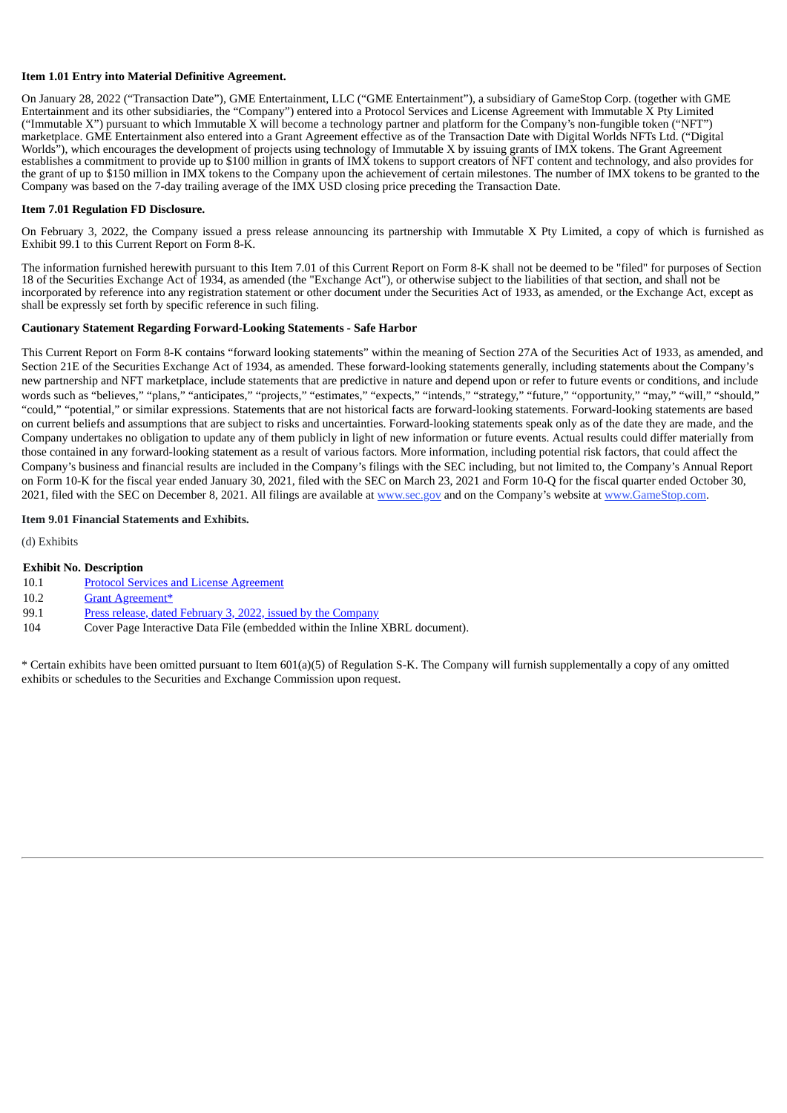#### **Item 1.01 Entry into Material Definitive Agreement.**

On January 28, 2022 ("Transaction Date"), GME Entertainment, LLC ("GME Entertainment"), a subsidiary of GameStop Corp. (together with GME Entertainment and its other subsidiaries, the "Company") entered into a Protocol Services and License Agreement with Immutable X Pty Limited ("Immutable X") pursuant to which Immutable X will become a technology partner and platform for the Company's non-fungible token ("NFT") marketplace. GME Entertainment also entered into a Grant Agreement effective as of the Transaction Date with Digital Worlds NFTs Ltd. ("Digital Worlds"), which encourages the development of projects using technology of Immutable X by issuing grants of IMX tokens. The Grant Agreement establishes a commitment to provide up to \$100 million in grants of IMX tokens to support creators of NFT content and technology, and also provides for the grant of up to \$150 million in IMX tokens to the Company upon the achievement of certain milestones. The number of IMX tokens to be granted to the Company was based on the 7-day trailing average of the IMX USD closing price preceding the Transaction Date.

#### **Item 7.01 Regulation FD Disclosure.**

On February 3, 2022, the Company issued a press release announcing its partnership with Immutable X Pty Limited, a copy of which is furnished as Exhibit 99.1 to this Current Report on Form 8-K.

The information furnished herewith pursuant to this Item 7.01 of this Current Report on Form 8-K shall not be deemed to be "filed" for purposes of Section 18 of the Securities Exchange Act of 1934, as amended (the "Exchange Act"), or otherwise subject to the liabilities of that section, and shall not be incorporated by reference into any registration statement or other document under the Securities Act of 1933, as amended, or the Exchange Act, except as shall be expressly set forth by specific reference in such filing.

#### **Cautionary Statement Regarding Forward-Looking Statements - Safe Harbor**

This Current Report on Form 8-K contains "forward looking statements" within the meaning of Section 27A of the Securities Act of 1933, as amended, and Section 21E of the Securities Exchange Act of 1934, as amended. These forward-looking statements generally, including statements about the Company's new partnership and NFT marketplace, include statements that are predictive in nature and depend upon or refer to future events or conditions, and include words such as "believes," "plans," "anticipates," "projects," "estimates," "expects," "intends," "strategy," "future," "opportunity," "may," "will," "should," "could," "potential," or similar expressions. Statements that are not historical facts are forward-looking statements. Forward-looking statements are based on current beliefs and assumptions that are subject to risks and uncertainties. Forward-looking statements speak only as of the date they are made, and the Company undertakes no obligation to update any of them publicly in light of new information or future events. Actual results could differ materially from those contained in any forward-looking statement as a result of various factors. More information, including potential risk factors, that could affect the Company's business and financial results are included in the Company's filings with the SEC including, but not limited to, the Company's Annual Report on Form 10-K for the fiscal year ended January 30, 2021, filed with the SEC on March 23, 2021 and Form 10-Q for the fiscal quarter ended October 30, 2021, filed with the SEC on December 8, 2021. All filings are available at www.sec.gov and on the Company's website at www.GameStop.com.

#### **Item 9.01 Financial Statements and Exhibits.**

(d) Exhibits

#### **Exhibit No. Description**

- 10.1 Protocol Services and License [Agreement](#page-3-0)
- 10.2 Grant [Agreement\\*](#page-26-0)
- 99.1 Press release, dated February 3, 2022, issued by the [Company](#page-30-0)
- 104 Cover Page Interactive Data File (embedded within the Inline XBRL document).

\* Certain exhibits have been omitted pursuant to Item 601(a)(5) of Regulation S-K. The Company will furnish supplementally a copy of any omitted exhibits or schedules to the Securities and Exchange Commission upon request.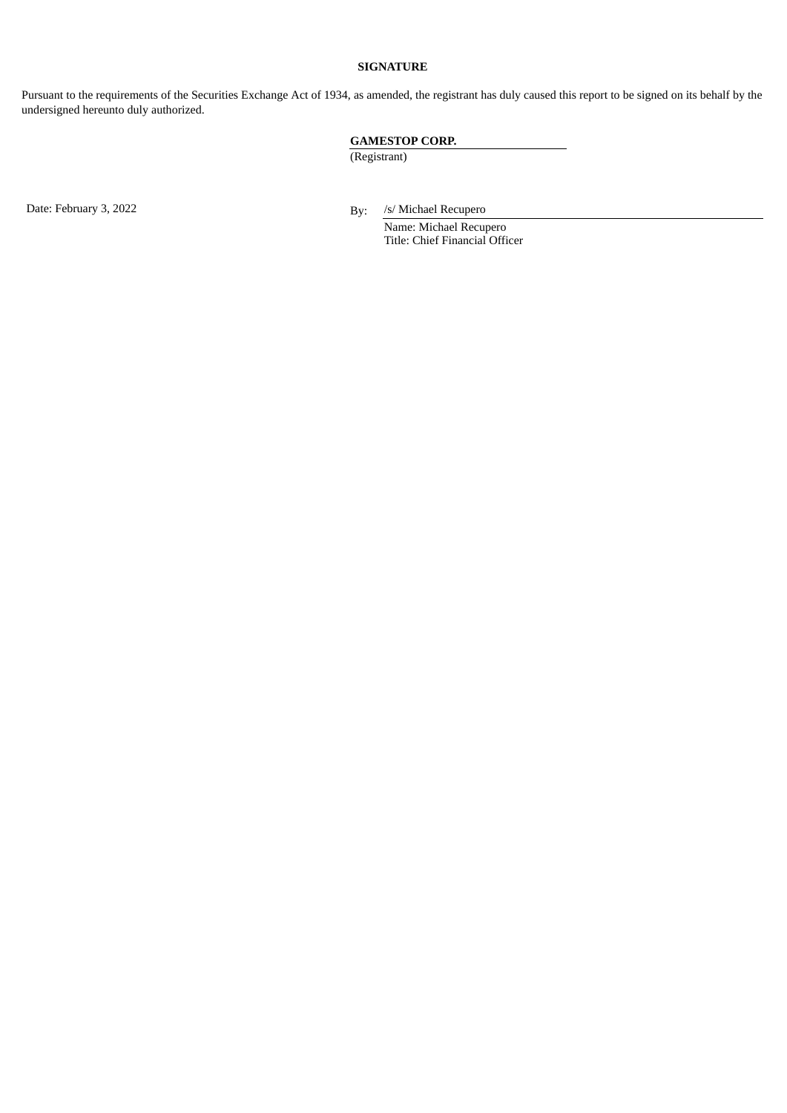## **SIGNATURE**

Pursuant to the requirements of the Securities Exchange Act of 1934, as amended, the registrant has duly caused this report to be signed on its behalf by the undersigned hereunto duly authorized.

## **GAMESTOP CORP.**

(Registrant)

Date: February 3, 2022 **By:** /s/ Michael Recupero

Name: Michael Recupero Title: Chief Financial Officer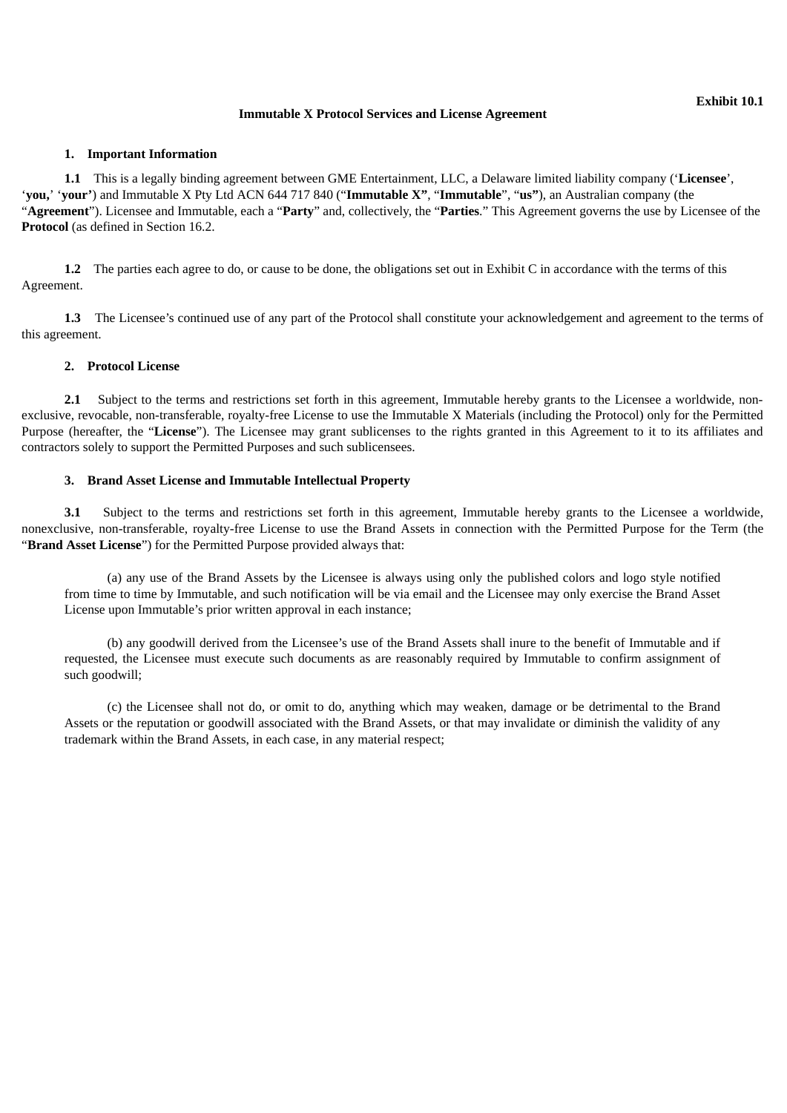#### **Immutable X Protocol Services and License Agreement**

#### <span id="page-3-0"></span>**1. Important Information**

**1.1** This is a legally binding agreement between GME Entertainment, LLC, a Delaware limited liability company ('**Licensee**', '**you,**' '**your'**) and Immutable X Pty Ltd ACN 644 717 840 ("**Immutable X"**, "**Immutable**", "**us"**), an Australian company (the "**Agreement**"). Licensee and Immutable, each a "**Party**" and, collectively, the "**Parties**." This Agreement governs the use by Licensee of the **Protocol** (as defined in Section 16.2.

**1.2** The parties each agree to do, or cause to be done, the obligations set out in Exhibit C in accordance with the terms of this Agreement.

**1.3** The Licensee's continued use of any part of the Protocol shall constitute your acknowledgement and agreement to the terms of this agreement.

#### **2. Protocol License**

**2.1** Subject to the terms and restrictions set forth in this agreement, Immutable hereby grants to the Licensee a worldwide, nonexclusive, revocable, non-transferable, royalty-free License to use the Immutable X Materials (including the Protocol) only for the Permitted Purpose (hereafter, the "**License**"). The Licensee may grant sublicenses to the rights granted in this Agreement to it to its affiliates and contractors solely to support the Permitted Purposes and such sublicensees.

#### **3. Brand Asset License and Immutable Intellectual Property**

**3.1** Subject to the terms and restrictions set forth in this agreement, Immutable hereby grants to the Licensee a worldwide, nonexclusive, non-transferable, royalty-free License to use the Brand Assets in connection with the Permitted Purpose for the Term (the "**Brand Asset License**") for the Permitted Purpose provided always that:

(a) any use of the Brand Assets by the Licensee is always using only the published colors and logo style notified from time to time by Immutable, and such notification will be via email and the Licensee may only exercise the Brand Asset License upon Immutable's prior written approval in each instance;

(b) any goodwill derived from the Licensee's use of the Brand Assets shall inure to the benefit of Immutable and if requested, the Licensee must execute such documents as are reasonably required by Immutable to confirm assignment of such goodwill;

(c) the Licensee shall not do, or omit to do, anything which may weaken, damage or be detrimental to the Brand Assets or the reputation or goodwill associated with the Brand Assets, or that may invalidate or diminish the validity of any trademark within the Brand Assets, in each case, in any material respect;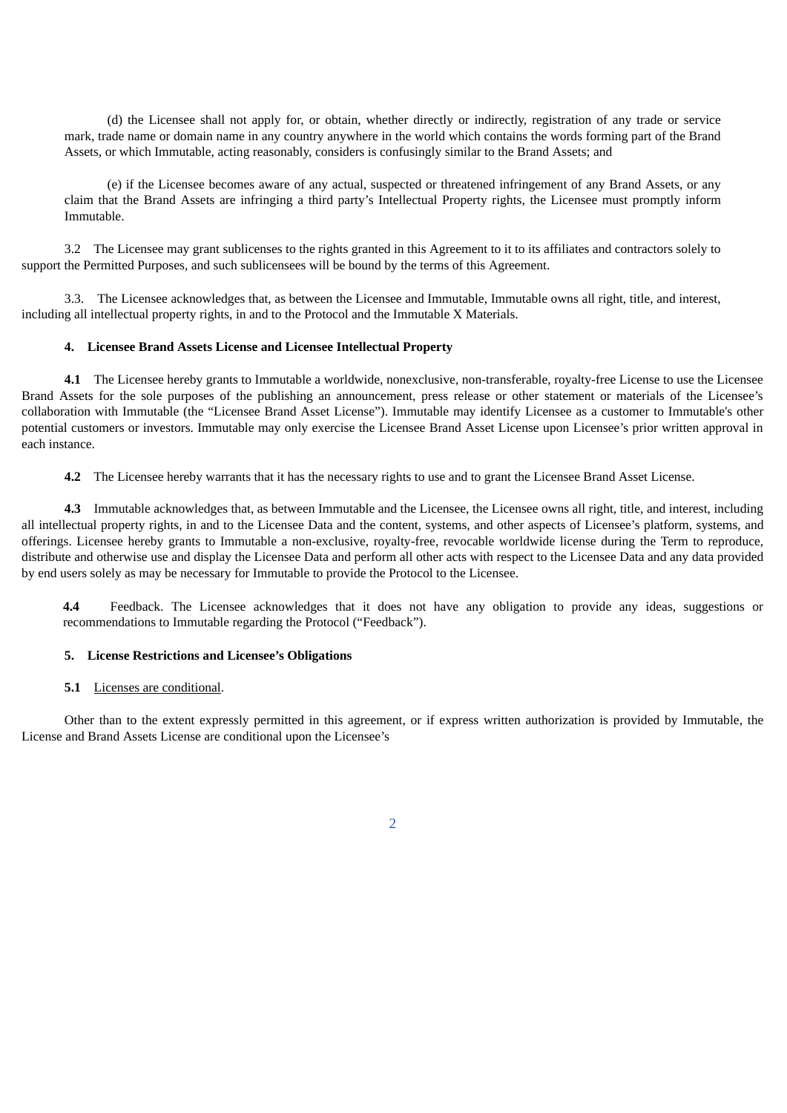(d) the Licensee shall not apply for, or obtain, whether directly or indirectly, registration of any trade or service mark, trade name or domain name in any country anywhere in the world which contains the words forming part of the Brand Assets, or which Immutable, acting reasonably, considers is confusingly similar to the Brand Assets; and

(e) if the Licensee becomes aware of any actual, suspected or threatened infringement of any Brand Assets, or any claim that the Brand Assets are infringing a third party's Intellectual Property rights, the Licensee must promptly inform Immutable.

3.2 The Licensee may grant sublicenses to the rights granted in this Agreement to it to its affiliates and contractors solely to support the Permitted Purposes, and such sublicensees will be bound by the terms of this Agreement.

3.3. The Licensee acknowledges that, as between the Licensee and Immutable, Immutable owns all right, title, and interest, including all intellectual property rights, in and to the Protocol and the Immutable X Materials.

#### **4. Licensee Brand Assets License and Licensee Intellectual Property**

**4.1** The Licensee hereby grants to Immutable a worldwide, nonexclusive, non-transferable, royalty-free License to use the Licensee Brand Assets for the sole purposes of the publishing an announcement, press release or other statement or materials of the Licensee's collaboration with Immutable (the "Licensee Brand Asset License"). Immutable may identify Licensee as a customer to Immutable's other potential customers or investors. Immutable may only exercise the Licensee Brand Asset License upon Licensee's prior written approval in each instance.

**4.2** The Licensee hereby warrants that it has the necessary rights to use and to grant the Licensee Brand Asset License.

**4.3** Immutable acknowledges that, as between Immutable and the Licensee, the Licensee owns all right, title, and interest, including all intellectual property rights, in and to the Licensee Data and the content, systems, and other aspects of Licensee's platform, systems, and offerings. Licensee hereby grants to Immutable a non-exclusive, royalty-free, revocable worldwide license during the Term to reproduce, distribute and otherwise use and display the Licensee Data and perform all other acts with respect to the Licensee Data and any data provided by end users solely as may be necessary for Immutable to provide the Protocol to the Licensee.

**4.4** Feedback. The Licensee acknowledges that it does not have any obligation to provide any ideas, suggestions or recommendations to Immutable regarding the Protocol ("Feedback").

#### **5. License Restrictions and Licensee's Obligations**

#### **5.1** Licenses are conditional.

Other than to the extent expressly permitted in this agreement, or if express written authorization is provided by Immutable, the License and Brand Assets License are conditional upon the Licensee's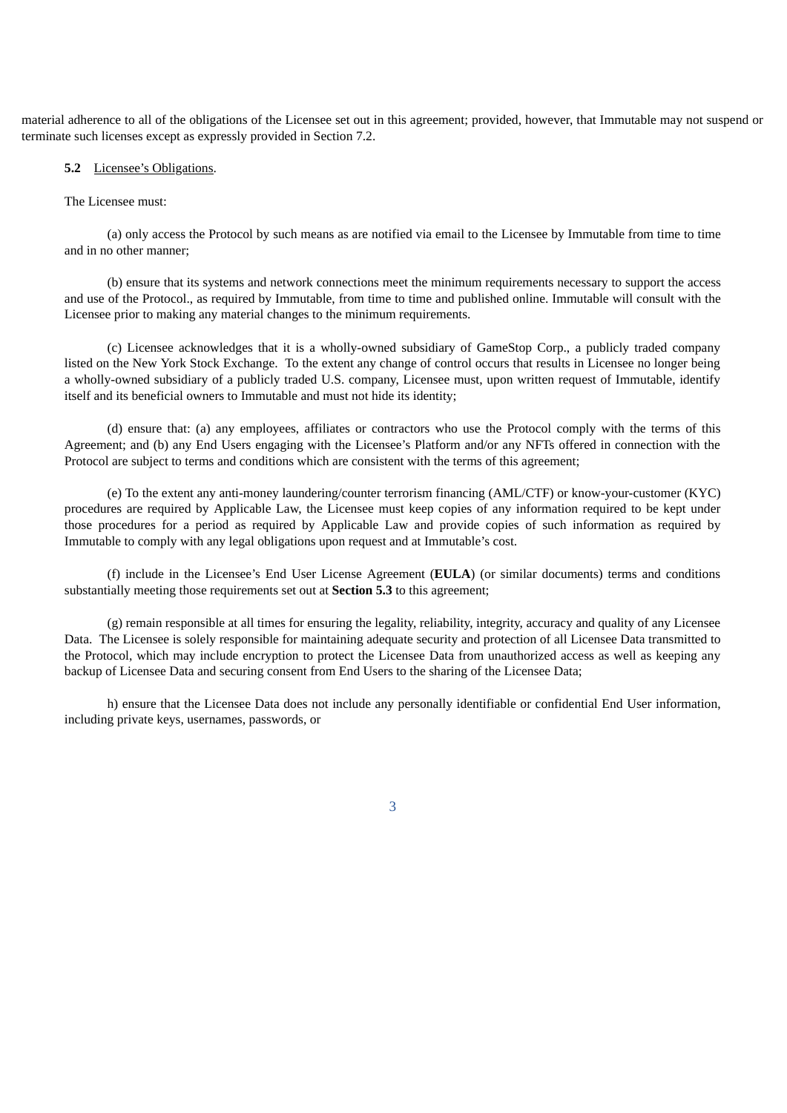material adherence to all of the obligations of the Licensee set out in this agreement; provided, however, that Immutable may not suspend or terminate such licenses except as expressly provided in Section 7.2.

#### **5.2** Licensee's Obligations.

#### The Licensee must:

(a) only access the Protocol by such means as are notified via email to the Licensee by Immutable from time to time and in no other manner;

(b) ensure that its systems and network connections meet the minimum requirements necessary to support the access and use of the Protocol., as required by Immutable, from time to time and published online. Immutable will consult with the Licensee prior to making any material changes to the minimum requirements.

(c) Licensee acknowledges that it is a wholly-owned subsidiary of GameStop Corp., a publicly traded company listed on the New York Stock Exchange. To the extent any change of control occurs that results in Licensee no longer being a wholly-owned subsidiary of a publicly traded U.S. company, Licensee must, upon written request of Immutable, identify itself and its beneficial owners to Immutable and must not hide its identity;

(d) ensure that: (a) any employees, affiliates or contractors who use the Protocol comply with the terms of this Agreement; and (b) any End Users engaging with the Licensee's Platform and/or any NFTs offered in connection with the Protocol are subject to terms and conditions which are consistent with the terms of this agreement;

(e) To the extent any anti-money laundering/counter terrorism financing (AML/CTF) or know-your-customer (KYC) procedures are required by Applicable Law, the Licensee must keep copies of any information required to be kept under those procedures for a period as required by Applicable Law and provide copies of such information as required by Immutable to comply with any legal obligations upon request and at Immutable's cost.

(f) include in the Licensee's End User License Agreement (**EULA**) (or similar documents) terms and conditions substantially meeting those requirements set out at **Section 5.3** to this agreement;

(g) remain responsible at all times for ensuring the legality, reliability, integrity, accuracy and quality of any Licensee Data. The Licensee is solely responsible for maintaining adequate security and protection of all Licensee Data transmitted to the Protocol, which may include encryption to protect the Licensee Data from unauthorized access as well as keeping any backup of Licensee Data and securing consent from End Users to the sharing of the Licensee Data;

h) ensure that the Licensee Data does not include any personally identifiable or confidential End User information, including private keys, usernames, passwords, or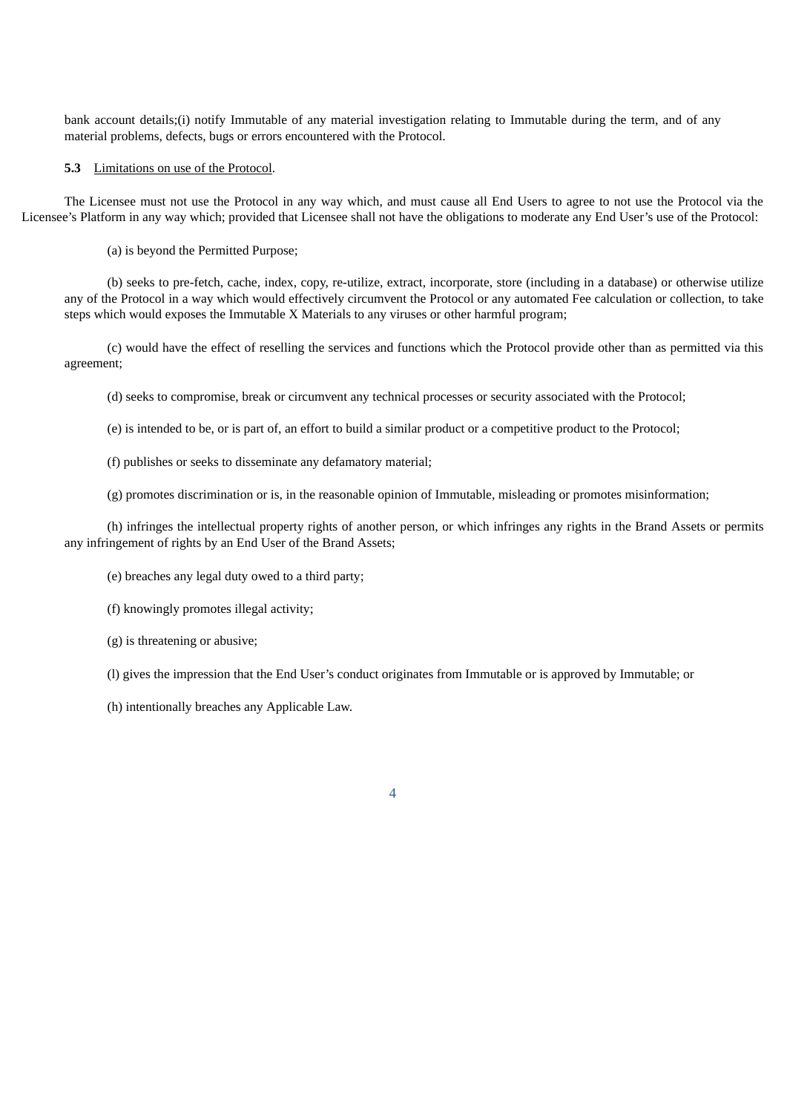bank account details;(i) notify Immutable of any material investigation relating to Immutable during the term, and of any material problems, defects, bugs or errors encountered with the Protocol.

#### **5.3** Limitations on use of the Protocol.

The Licensee must not use the Protocol in any way which, and must cause all End Users to agree to not use the Protocol via the Licensee's Platform in any way which; provided that Licensee shall not have the obligations to moderate any End User's use of the Protocol:

(a) is beyond the Permitted Purpose;

(b) seeks to pre-fetch, cache, index, copy, re-utilize, extract, incorporate, store (including in a database) or otherwise utilize any of the Protocol in a way which would effectively circumvent the Protocol or any automated Fee calculation or collection, to take steps which would exposes the Immutable X Materials to any viruses or other harmful program;

(c) would have the effect of reselling the services and functions which the Protocol provide other than as permitted via this agreement;

(d) seeks to compromise, break or circumvent any technical processes or security associated with the Protocol;

(e) is intended to be, or is part of, an effort to build a similar product or a competitive product to the Protocol;

(f) publishes or seeks to disseminate any defamatory material;

(g) promotes discrimination or is, in the reasonable opinion of Immutable, misleading or promotes misinformation;

(h) infringes the intellectual property rights of another person, or which infringes any rights in the Brand Assets or permits any infringement of rights by an End User of the Brand Assets;

(e) breaches any legal duty owed to a third party;

(f) knowingly promotes illegal activity;

(g) is threatening or abusive;

(l) gives the impression that the End User's conduct originates from Immutable or is approved by Immutable; or

(h) intentionally breaches any Applicable Law.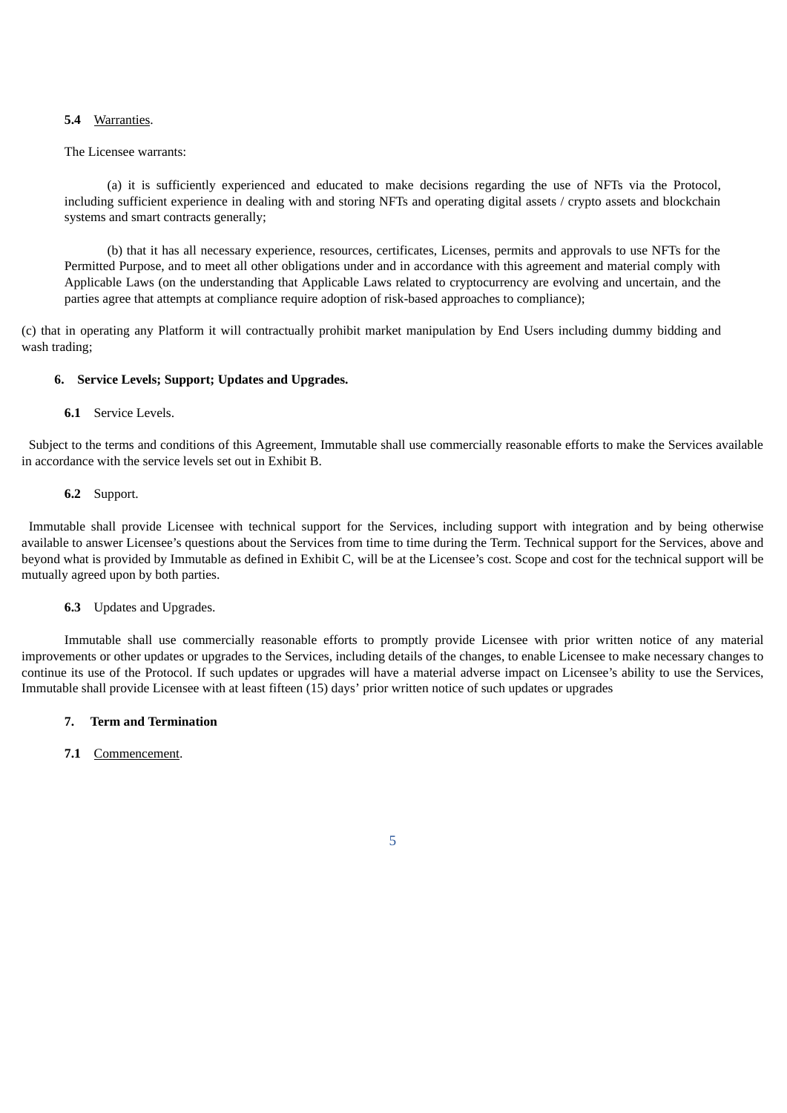#### **5.4** Warranties.

#### The Licensee warrants:

(a) it is sufficiently experienced and educated to make decisions regarding the use of NFTs via the Protocol, including sufficient experience in dealing with and storing NFTs and operating digital assets / crypto assets and blockchain systems and smart contracts generally;

(b) that it has all necessary experience, resources, certificates, Licenses, permits and approvals to use NFTs for the Permitted Purpose, and to meet all other obligations under and in accordance with this agreement and material comply with Applicable Laws (on the understanding that Applicable Laws related to cryptocurrency are evolving and uncertain, and the parties agree that attempts at compliance require adoption of risk-based approaches to compliance);

(c) that in operating any Platform it will contractually prohibit market manipulation by End Users including dummy bidding and wash trading;

#### **6. Service Levels; Support; Updates and Upgrades.**

#### **6.1** Service Levels.

Subject to the terms and conditions of this Agreement, Immutable shall use commercially reasonable efforts to make the Services available in accordance with the service levels set out in Exhibit B.

#### **6.2** Support.

Immutable shall provide Licensee with technical support for the Services, including support with integration and by being otherwise available to answer Licensee's questions about the Services from time to time during the Term. Technical support for the Services, above and beyond what is provided by Immutable as defined in Exhibit C, will be at the Licensee's cost. Scope and cost for the technical support will be mutually agreed upon by both parties.

#### **6.3** Updates and Upgrades.

Immutable shall use commercially reasonable efforts to promptly provide Licensee with prior written notice of any material improvements or other updates or upgrades to the Services, including details of the changes, to enable Licensee to make necessary changes to continue its use of the Protocol. If such updates or upgrades will have a material adverse impact on Licensee's ability to use the Services, Immutable shall provide Licensee with at least fifteen (15) days' prior written notice of such updates or upgrades

5

#### **7. Term and Termination**

#### **7.1** Commencement.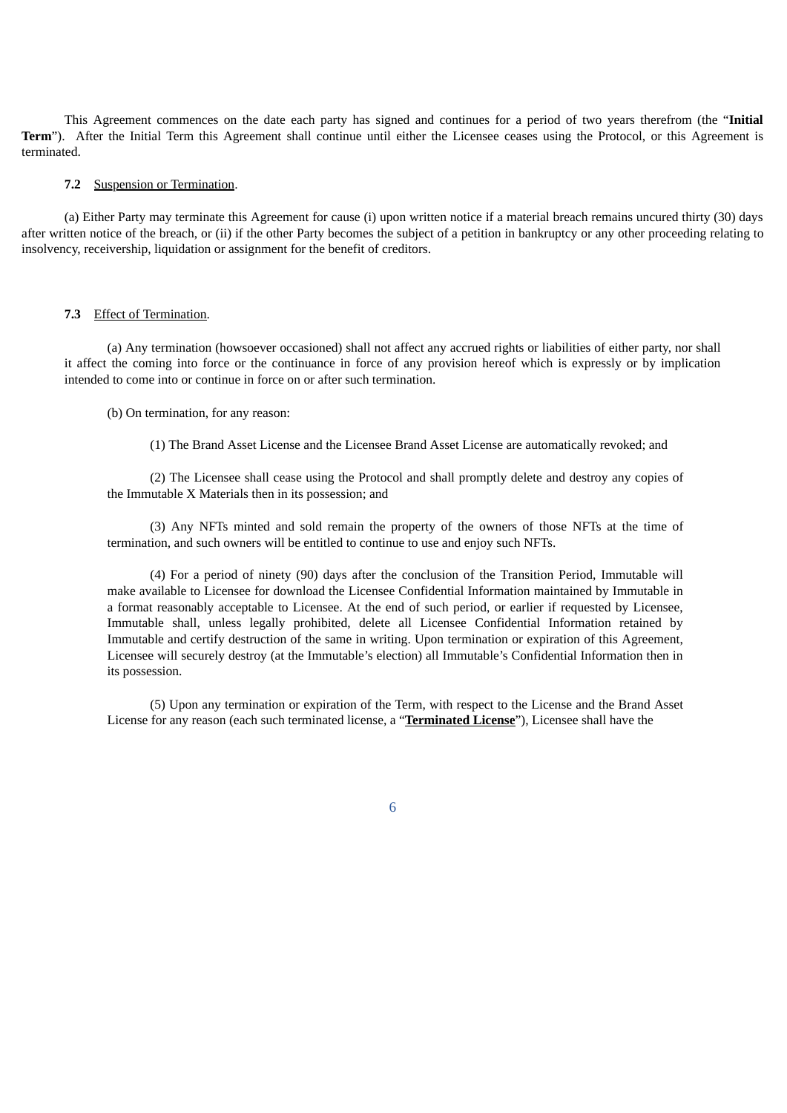This Agreement commences on the date each party has signed and continues for a period of two years therefrom (the "**Initial Term**"). After the Initial Term this Agreement shall continue until either the Licensee ceases using the Protocol, or this Agreement is terminated.

#### **7.2** Suspension or Termination.

(a) Either Party may terminate this Agreement for cause (i) upon written notice if a material breach remains uncured thirty (30) days after written notice of the breach, or (ii) if the other Party becomes the subject of a petition in bankruptcy or any other proceeding relating to insolvency, receivership, liquidation or assignment for the benefit of creditors.

#### **7.3** Effect of Termination.

(a) Any termination (howsoever occasioned) shall not affect any accrued rights or liabilities of either party, nor shall it affect the coming into force or the continuance in force of any provision hereof which is expressly or by implication intended to come into or continue in force on or after such termination.

### (b) On termination, for any reason:

(1) The Brand Asset License and the Licensee Brand Asset License are automatically revoked; and

(2) The Licensee shall cease using the Protocol and shall promptly delete and destroy any copies of the Immutable X Materials then in its possession; and

(3) Any NFTs minted and sold remain the property of the owners of those NFTs at the time of termination, and such owners will be entitled to continue to use and enjoy such NFTs.

(4) For a period of ninety (90) days after the conclusion of the Transition Period, Immutable will make available to Licensee for download the Licensee Confidential Information maintained by Immutable in a format reasonably acceptable to Licensee. At the end of such period, or earlier if requested by Licensee, Immutable shall, unless legally prohibited, delete all Licensee Confidential Information retained by Immutable and certify destruction of the same in writing. Upon termination or expiration of this Agreement, Licensee will securely destroy (at the Immutable's election) all Immutable's Confidential Information then in its possession.

(5) Upon any termination or expiration of the Term, with respect to the License and the Brand Asset License for any reason (each such terminated license, a "**Terminated License**"), Licensee shall have the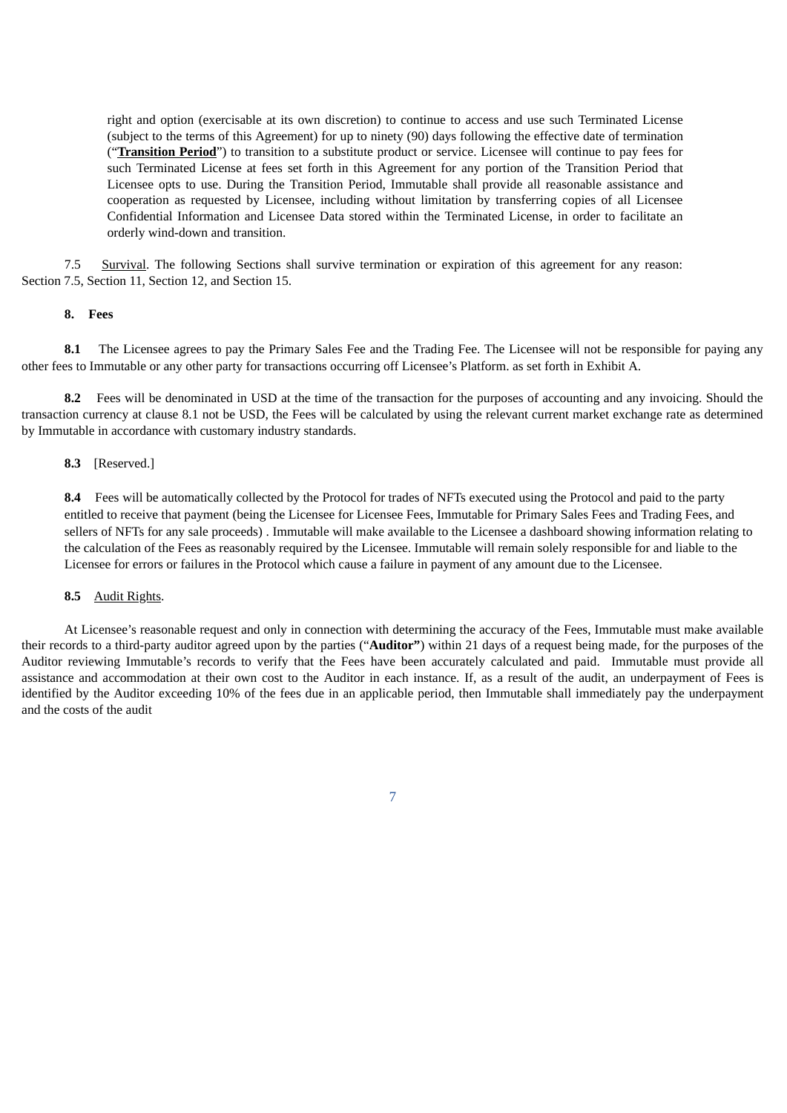right and option (exercisable at its own discretion) to continue to access and use such Terminated License (subject to the terms of this Agreement) for up to ninety (90) days following the effective date of termination ("**Transition Period**") to transition to a substitute product or service. Licensee will continue to pay fees for such Terminated License at fees set forth in this Agreement for any portion of the Transition Period that Licensee opts to use. During the Transition Period, Immutable shall provide all reasonable assistance and cooperation as requested by Licensee, including without limitation by transferring copies of all Licensee Confidential Information and Licensee Data stored within the Terminated License, in order to facilitate an orderly wind-down and transition.

7.5 Survival. The following Sections shall survive termination or expiration of this agreement for any reason: Section 7.5, Section 11, Section 12, and Section 15.

#### **8. Fees**

**8.1** The Licensee agrees to pay the Primary Sales Fee and the Trading Fee. The Licensee will not be responsible for paying any other fees to Immutable or any other party for transactions occurring off Licensee's Platform. as set forth in Exhibit A.

**8.2** Fees will be denominated in USD at the time of the transaction for the purposes of accounting and any invoicing. Should the transaction currency at clause 8.1 not be USD, the Fees will be calculated by using the relevant current market exchange rate as determined by Immutable in accordance with customary industry standards.

#### **8.3** [Reserved.]

**8.4** Fees will be automatically collected by the Protocol for trades of NFTs executed using the Protocol and paid to the party entitled to receive that payment (being the Licensee for Licensee Fees, Immutable for Primary Sales Fees and Trading Fees, and sellers of NFTs for any sale proceeds) . Immutable will make available to the Licensee a dashboard showing information relating to the calculation of the Fees as reasonably required by the Licensee. Immutable will remain solely responsible for and liable to the Licensee for errors or failures in the Protocol which cause a failure in payment of any amount due to the Licensee.

#### **8.5** Audit Rights.

At Licensee's reasonable request and only in connection with determining the accuracy of the Fees, Immutable must make available their records to a third-party auditor agreed upon by the parties ("**Auditor"**) within 21 days of a request being made, for the purposes of the Auditor reviewing Immutable's records to verify that the Fees have been accurately calculated and paid. Immutable must provide all assistance and accommodation at their own cost to the Auditor in each instance. If, as a result of the audit, an underpayment of Fees is identified by the Auditor exceeding 10% of the fees due in an applicable period, then Immutable shall immediately pay the underpayment and the costs of the audit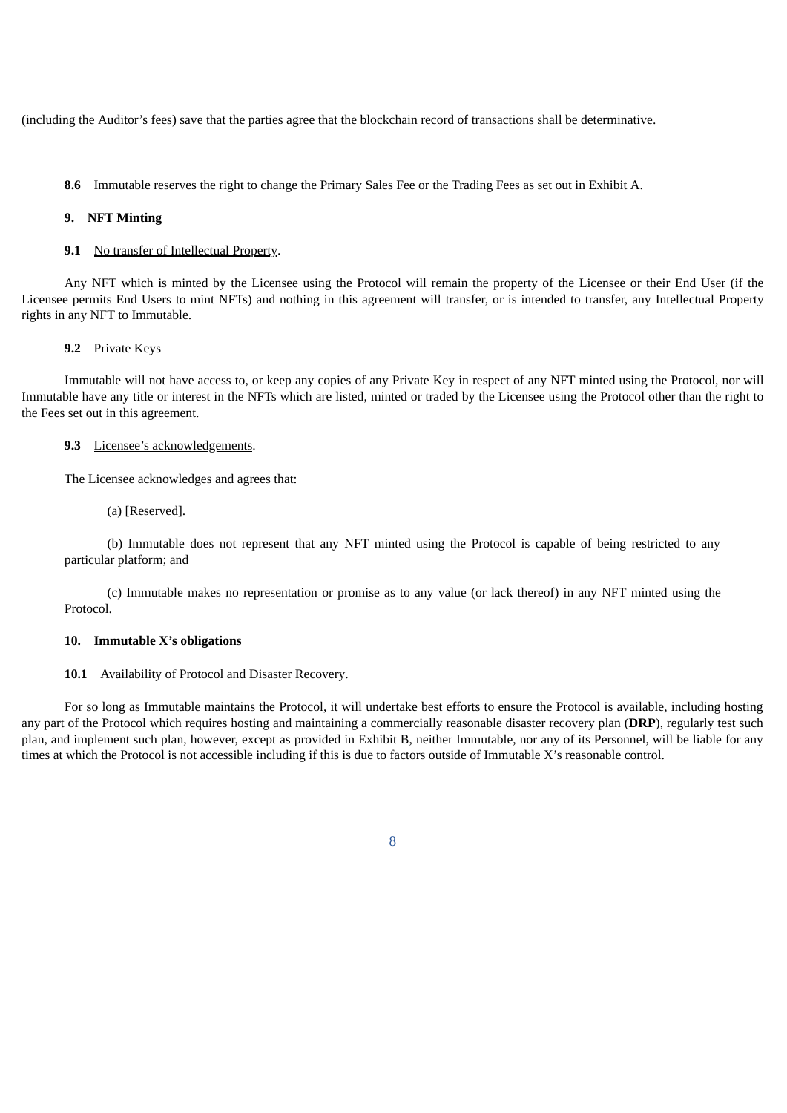(including the Auditor's fees) save that the parties agree that the blockchain record of transactions shall be determinative.

**8.6** Immutable reserves the right to change the Primary Sales Fee or the Trading Fees as set out in Exhibit A.

#### **9. NFT Minting**

## 9.1 No transfer of Intellectual Property.

Any NFT which is minted by the Licensee using the Protocol will remain the property of the Licensee or their End User (if the Licensee permits End Users to mint NFTs) and nothing in this agreement will transfer, or is intended to transfer, any Intellectual Property rights in any NFT to Immutable.

#### **9.2** Private Keys

Immutable will not have access to, or keep any copies of any Private Key in respect of any NFT minted using the Protocol, nor will Immutable have any title or interest in the NFTs which are listed, minted or traded by the Licensee using the Protocol other than the right to the Fees set out in this agreement.

#### **9.3** Licensee's acknowledgements.

The Licensee acknowledges and agrees that:

(a) [Reserved].

(b) Immutable does not represent that any NFT minted using the Protocol is capable of being restricted to any particular platform; and

(c) Immutable makes no representation or promise as to any value (or lack thereof) in any NFT minted using the Protocol.

#### **10. Immutable X's obligations**

#### **10.1** Availability of Protocol and Disaster Recovery.

For so long as Immutable maintains the Protocol, it will undertake best efforts to ensure the Protocol is available, including hosting any part of the Protocol which requires hosting and maintaining a commercially reasonable disaster recovery plan (**DRP**), regularly test such plan, and implement such plan, however, except as provided in Exhibit B, neither Immutable, nor any of its Personnel, will be liable for any times at which the Protocol is not accessible including if this is due to factors outside of Immutable X's reasonable control.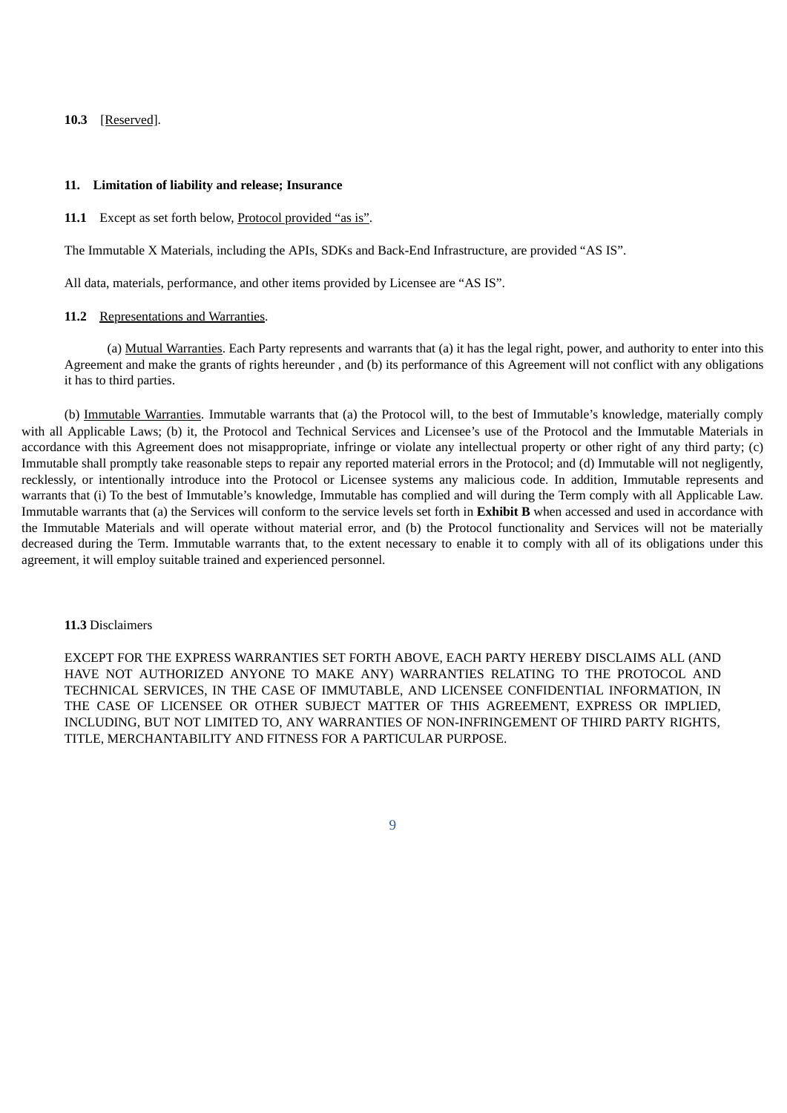#### **10.3** [Reserved].

#### **11. Limitation of liability and release; Insurance**

#### **11.1** Except as set forth below, Protocol provided "as is".

The Immutable X Materials, including the APIs, SDKs and Back-End Infrastructure, are provided "AS IS".

All data, materials, performance, and other items provided by Licensee are "AS IS".

#### 11.2 Representations and Warranties.

(a) Mutual Warranties. Each Party represents and warrants that (a) it has the legal right, power, and authority to enter into this Agreement and make the grants of rights hereunder , and (b) its performance of this Agreement will not conflict with any obligations it has to third parties.

(b) Immutable Warranties. Immutable warrants that (a) the Protocol will, to the best of Immutable's knowledge, materially comply with all Applicable Laws; (b) it, the Protocol and Technical Services and Licensee's use of the Protocol and the Immutable Materials in accordance with this Agreement does not misappropriate, infringe or violate any intellectual property or other right of any third party; (c) Immutable shall promptly take reasonable steps to repair any reported material errors in the Protocol; and (d) Immutable will not negligently, recklessly, or intentionally introduce into the Protocol or Licensee systems any malicious code. In addition, Immutable represents and warrants that (i) To the best of Immutable's knowledge, Immutable has complied and will during the Term comply with all Applicable Law. Immutable warrants that (a) the Services will conform to the service levels set forth in **Exhibit B** when accessed and used in accordance with the Immutable Materials and will operate without material error, and (b) the Protocol functionality and Services will not be materially decreased during the Term. Immutable warrants that, to the extent necessary to enable it to comply with all of its obligations under this agreement, it will employ suitable trained and experienced personnel.

#### **11.3** Disclaimers

EXCEPT FOR THE EXPRESS WARRANTIES SET FORTH ABOVE, EACH PARTY HEREBY DISCLAIMS ALL (AND HAVE NOT AUTHORIZED ANYONE TO MAKE ANY) WARRANTIES RELATING TO THE PROTOCOL AND TECHNICAL SERVICES, IN THE CASE OF IMMUTABLE, AND LICENSEE CONFIDENTIAL INFORMATION, IN THE CASE OF LICENSEE OR OTHER SUBJECT MATTER OF THIS AGREEMENT, EXPRESS OR IMPLIED, INCLUDING, BUT NOT LIMITED TO, ANY WARRANTIES OF NON-INFRINGEMENT OF THIRD PARTY RIGHTS, TITLE, MERCHANTABILITY AND FITNESS FOR A PARTICULAR PURPOSE.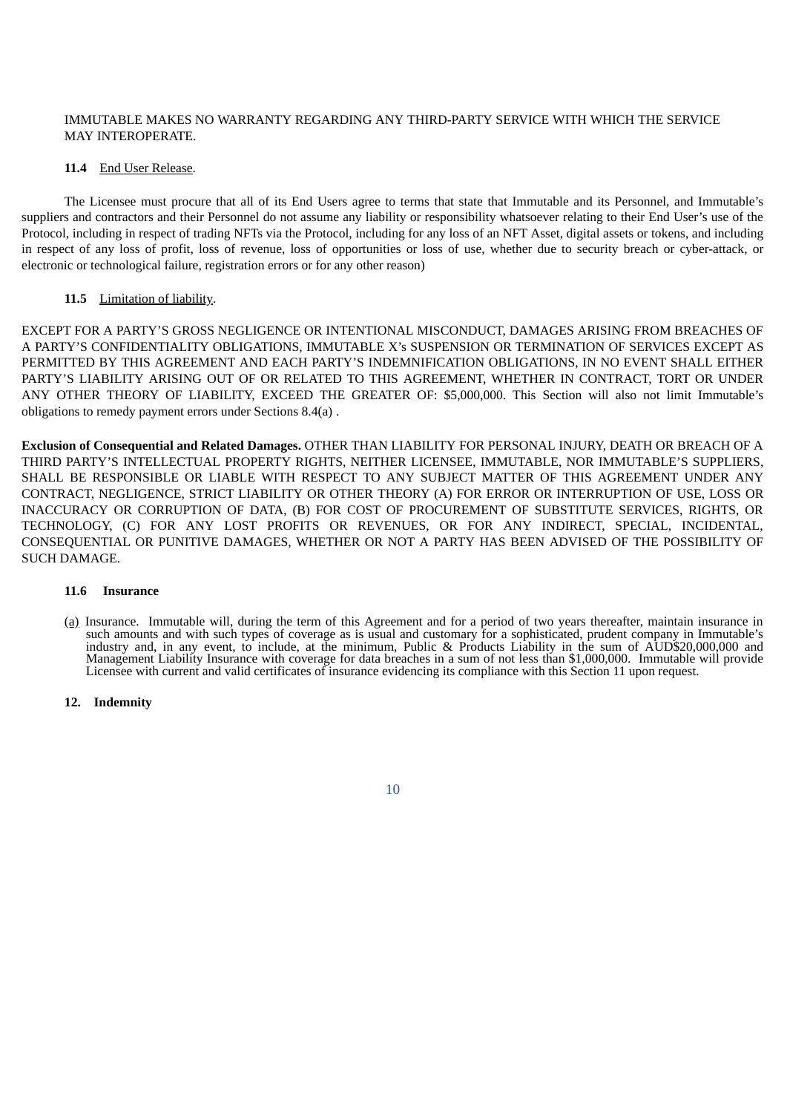## IMMUTABLE MAKES NO WARRANTY REGARDING ANY THIRD-PARTY SERVICE WITH WHICH THE SERVICE MAY INTEROPERATE.

#### **11.4** End User Release.

The Licensee must procure that all of its End Users agree to terms that state that Immutable and its Personnel, and Immutable's suppliers and contractors and their Personnel do not assume any liability or responsibility whatsoever relating to their End User's use of the Protocol, including in respect of trading NFTs via the Protocol, including for any loss of an NFT Asset, digital assets or tokens, and including in respect of any loss of profit, loss of revenue, loss of opportunities or loss of use, whether due to security breach or cyber-attack, or electronic or technological failure, registration errors or for any other reason)

#### 11.5 Limitation of liability.

EXCEPT FOR A PARTY'S GROSS NEGLIGENCE OR INTENTIONAL MISCONDUCT, DAMAGES ARISING FROM BREACHES OF A PARTY'S CONFIDENTIALITY OBLIGATIONS, IMMUTABLE X's SUSPENSION OR TERMINATION OF SERVICES EXCEPT AS PERMITTED BY THIS AGREEMENT AND EACH PARTY'S INDEMNIFICATION OBLIGATIONS, IN NO EVENT SHALL EITHER PARTY'S LIABILITY ARISING OUT OF OR RELATED TO THIS AGREEMENT, WHETHER IN CONTRACT, TORT OR UNDER ANY OTHER THEORY OF LIABILITY, EXCEED THE GREATER OF: \$5,000,000. This Section will also not limit Immutable's obligations to remedy payment errors under Sections 8.4(a) .

**Exclusion of Consequential and Related Damages.** OTHER THAN LIABILITY FOR PERSONAL INJURY, DEATH OR BREACH OF A THIRD PARTY'S INTELLECTUAL PROPERTY RIGHTS, NEITHER LICENSEE, IMMUTABLE, NOR IMMUTABLE'S SUPPLIERS, SHALL BE RESPONSIBLE OR LIABLE WITH RESPECT TO ANY SUBJECT MATTER OF THIS AGREEMENT UNDER ANY CONTRACT, NEGLIGENCE, STRICT LIABILITY OR OTHER THEORY (A) FOR ERROR OR INTERRUPTION OF USE, LOSS OR INACCURACY OR CORRUPTION OF DATA, (B) FOR COST OF PROCUREMENT OF SUBSTITUTE SERVICES, RIGHTS, OR TECHNOLOGY, (C) FOR ANY LOST PROFITS OR REVENUES, OR FOR ANY INDIRECT, SPECIAL, INCIDENTAL, CONSEQUENTIAL OR PUNITIVE DAMAGES, WHETHER OR NOT A PARTY HAS BEEN ADVISED OF THE POSSIBILITY OF SUCH DAMAGE.

#### **11.6 Insurance**

(a) Insurance. Immutable will, during the term of this Agreement and for a period of two years thereafter, maintain insurance in such amounts and with such types of coverage as is usual and customary for a sophisticated, prudent company in Immutable's industry and, in any event, to include, at the minimum, Public & Products Liability in the sum of AUD\$20,000,000 and Management Liability Insurance with coverage for data breaches in a sum of not less than \$1,000,000. Immutable will provide Licensee with current and valid certificates of insurance evidencing its compliance with this Section 11 upon request.

#### **12. Indemnity**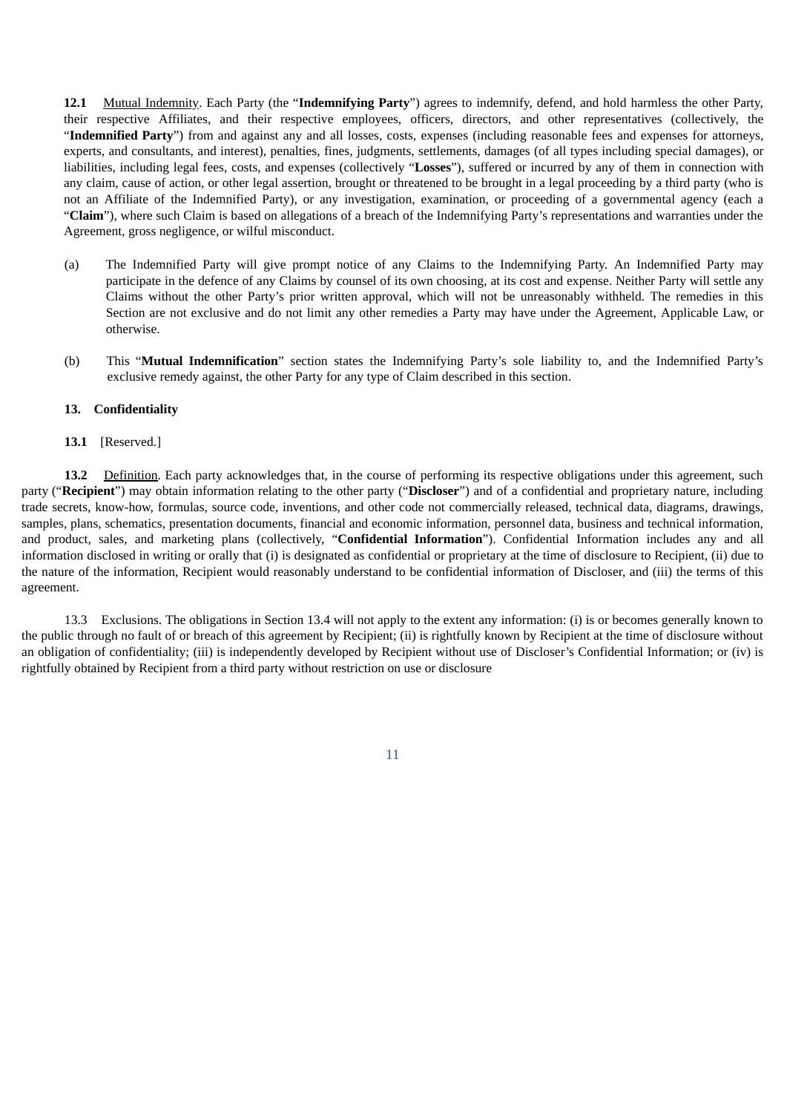**12.1** Mutual Indemnity. Each Party (the "**Indemnifying Party**") agrees to indemnify, defend, and hold harmless the other Party, their respective Affiliates, and their respective employees, officers, directors, and other representatives (collectively, the "**Indemnified Party**") from and against any and all losses, costs, expenses (including reasonable fees and expenses for attorneys, experts, and consultants, and interest), penalties, fines, judgments, settlements, damages (of all types including special damages), or liabilities, including legal fees, costs, and expenses (collectively "**Losses**"), suffered or incurred by any of them in connection with any claim, cause of action, or other legal assertion, brought or threatened to be brought in a legal proceeding by a third party (who is not an Affiliate of the Indemnified Party), or any investigation, examination, or proceeding of a governmental agency (each a "**Claim**"), where such Claim is based on allegations of a breach of the Indemnifying Party's representations and warranties under the Agreement, gross negligence, or wilful misconduct.

- (a) The Indemnified Party will give prompt notice of any Claims to the Indemnifying Party. An Indemnified Party may participate in the defence of any Claims by counsel of its own choosing, at its cost and expense. Neither Party will settle any Claims without the other Party's prior written approval, which will not be unreasonably withheld. The remedies in this Section are not exclusive and do not limit any other remedies a Party may have under the Agreement, Applicable Law, or otherwise.
- (b) This "**Mutual Indemnification**" section states the Indemnifying Party's sole liability to, and the Indemnified Party's exclusive remedy against, the other Party for any type of Claim described in this section.

#### **13. Confidentiality**

#### **13.1** [Reserved.]

**13.2** Definition. Each party acknowledges that, in the course of performing its respective obligations under this agreement, such party ("**Recipient**") may obtain information relating to the other party ("**Discloser**") and of a confidential and proprietary nature, including trade secrets, know-how, formulas, source code, inventions, and other code not commercially released, technical data, diagrams, drawings, samples, plans, schematics, presentation documents, financial and economic information, personnel data, business and technical information, and product, sales, and marketing plans (collectively, "**Confidential Information**"). Confidential Information includes any and all information disclosed in writing or orally that (i) is designated as confidential or proprietary at the time of disclosure to Recipient, (ii) due to the nature of the information, Recipient would reasonably understand to be confidential information of Discloser, and (iii) the terms of this agreement.

13.3 Exclusions. The obligations in Section 13.4 will not apply to the extent any information: (i) is or becomes generally known to the public through no fault of or breach of this agreement by Recipient; (ii) is rightfully known by Recipient at the time of disclosure without an obligation of confidentiality; (iii) is independently developed by Recipient without use of Discloser's Confidential Information; or (iv) is rightfully obtained by Recipient from a third party without restriction on use or disclosure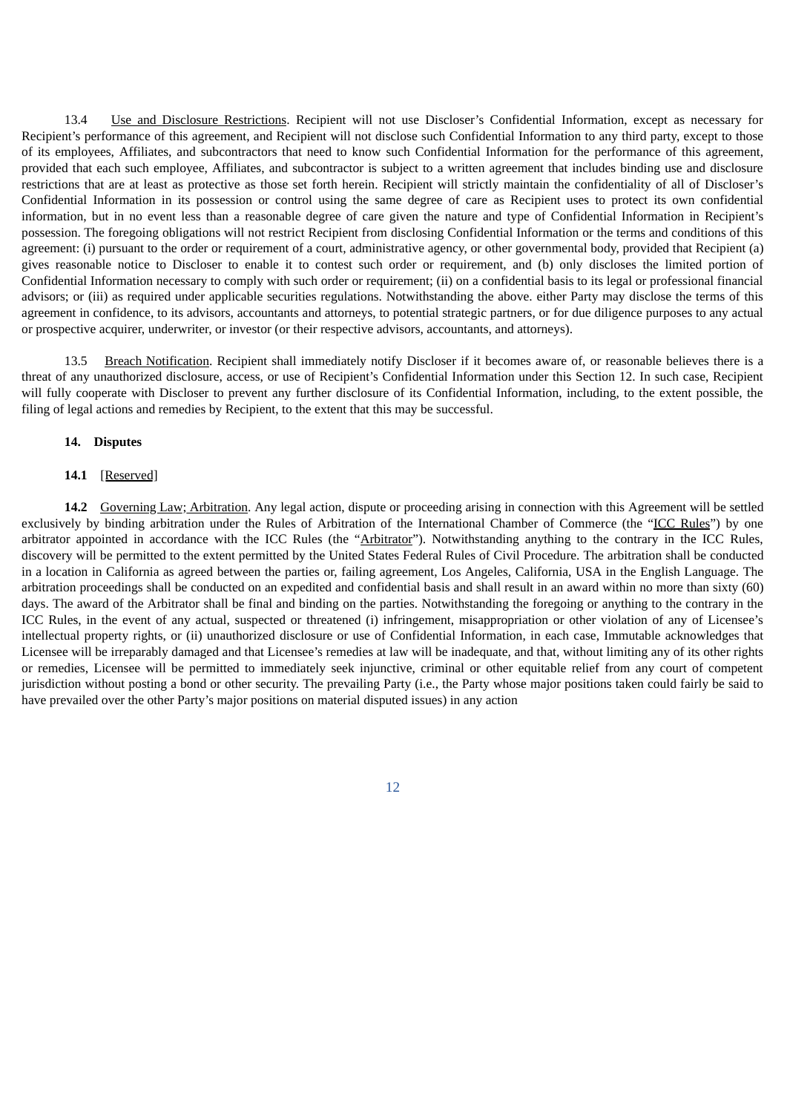13.4 Use and Disclosure Restrictions. Recipient will not use Discloser's Confidential Information, except as necessary for Recipient's performance of this agreement, and Recipient will not disclose such Confidential Information to any third party, except to those of its employees, Affiliates, and subcontractors that need to know such Confidential Information for the performance of this agreement, provided that each such employee, Affiliates, and subcontractor is subject to a written agreement that includes binding use and disclosure restrictions that are at least as protective as those set forth herein. Recipient will strictly maintain the confidentiality of all of Discloser's Confidential Information in its possession or control using the same degree of care as Recipient uses to protect its own confidential information, but in no event less than a reasonable degree of care given the nature and type of Confidential Information in Recipient's possession. The foregoing obligations will not restrict Recipient from disclosing Confidential Information or the terms and conditions of this agreement: (i) pursuant to the order or requirement of a court, administrative agency, or other governmental body, provided that Recipient (a) gives reasonable notice to Discloser to enable it to contest such order or requirement, and (b) only discloses the limited portion of Confidential Information necessary to comply with such order or requirement; (ii) on a confidential basis to its legal or professional financial advisors; or (iii) as required under applicable securities regulations. Notwithstanding the above. either Party may disclose the terms of this agreement in confidence, to its advisors, accountants and attorneys, to potential strategic partners, or for due diligence purposes to any actual or prospective acquirer, underwriter, or investor (or their respective advisors, accountants, and attorneys).

13.5 Breach Notification. Recipient shall immediately notify Discloser if it becomes aware of, or reasonable believes there is a threat of any unauthorized disclosure, access, or use of Recipient's Confidential Information under this Section 12. In such case, Recipient will fully cooperate with Discloser to prevent any further disclosure of its Confidential Information, including, to the extent possible, the filing of legal actions and remedies by Recipient, to the extent that this may be successful.

#### **14. Disputes**

#### **14.1** [Reserved]

**14.2** Governing Law; Arbitration. Any legal action, dispute or proceeding arising in connection with this Agreement will be settled exclusively by binding arbitration under the Rules of Arbitration of the International Chamber of Commerce (the "ICC Rules") by one arbitrator appointed in accordance with the ICC Rules (the "Arbitrator"). Notwithstanding anything to the contrary in the ICC Rules, discovery will be permitted to the extent permitted by the United States Federal Rules of Civil Procedure. The arbitration shall be conducted in a location in California as agreed between the parties or, failing agreement, Los Angeles, California, USA in the English Language. The arbitration proceedings shall be conducted on an expedited and confidential basis and shall result in an award within no more than sixty (60) days. The award of the Arbitrator shall be final and binding on the parties. Notwithstanding the foregoing or anything to the contrary in the ICC Rules, in the event of any actual, suspected or threatened (i) infringement, misappropriation or other violation of any of Licensee's intellectual property rights, or (ii) unauthorized disclosure or use of Confidential Information, in each case, Immutable acknowledges that Licensee will be irreparably damaged and that Licensee's remedies at law will be inadequate, and that, without limiting any of its other rights or remedies, Licensee will be permitted to immediately seek injunctive, criminal or other equitable relief from any court of competent jurisdiction without posting a bond or other security. The prevailing Party (i.e., the Party whose major positions taken could fairly be said to have prevailed over the other Party's major positions on material disputed issues) in any action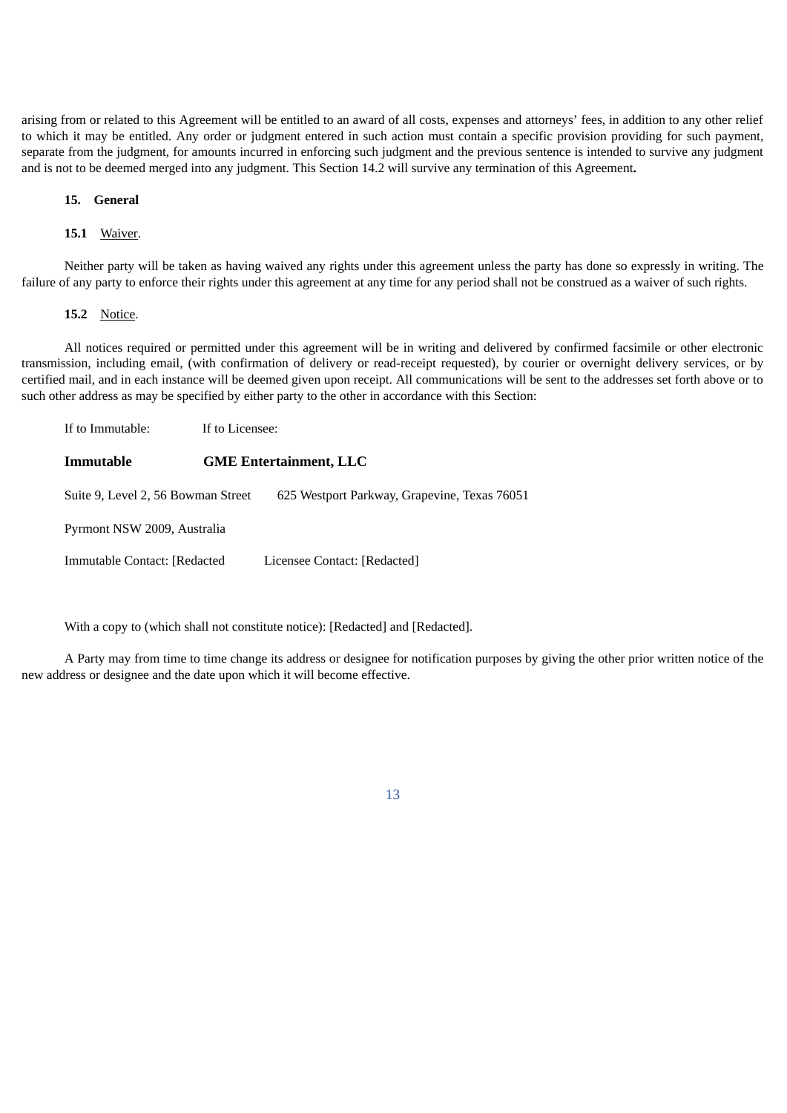arising from or related to this Agreement will be entitled to an award of all costs, expenses and attorneys' fees, in addition to any other relief to which it may be entitled. Any order or judgment entered in such action must contain a specific provision providing for such payment, separate from the judgment, for amounts incurred in enforcing such judgment and the previous sentence is intended to survive any judgment and is not to be deemed merged into any judgment. This Section 14.2 will survive any termination of this Agreement**.**

#### **15. General**

#### **15.1** Waiver.

Neither party will be taken as having waived any rights under this agreement unless the party has done so expressly in writing. The failure of any party to enforce their rights under this agreement at any time for any period shall not be construed as a waiver of such rights.

#### **15.2** Notice.

All notices required or permitted under this agreement will be in writing and delivered by confirmed facsimile or other electronic transmission, including email, (with confirmation of delivery or read-receipt requested), by courier or overnight delivery services, or by certified mail, and in each instance will be deemed given upon receipt. All communications will be sent to the addresses set forth above or to such other address as may be specified by either party to the other in accordance with this Section:

| If to Immutable:                   | If to Licensee:               |                                              |  |  |
|------------------------------------|-------------------------------|----------------------------------------------|--|--|
| Immutable                          | <b>GME Entertainment, LLC</b> |                                              |  |  |
| Suite 9, Level 2, 56 Bowman Street |                               | 625 Westport Parkway, Grapevine, Texas 76051 |  |  |
| Pyrmont NSW 2009, Australia        |                               |                                              |  |  |
| Immutable Contact: [Redacted       |                               | Licensee Contact: [Redacted]                 |  |  |

With a copy to (which shall not constitute notice): [Redacted] and [Redacted].

A Party may from time to time change its address or designee for notification purposes by giving the other prior written notice of the new address or designee and the date upon which it will become effective.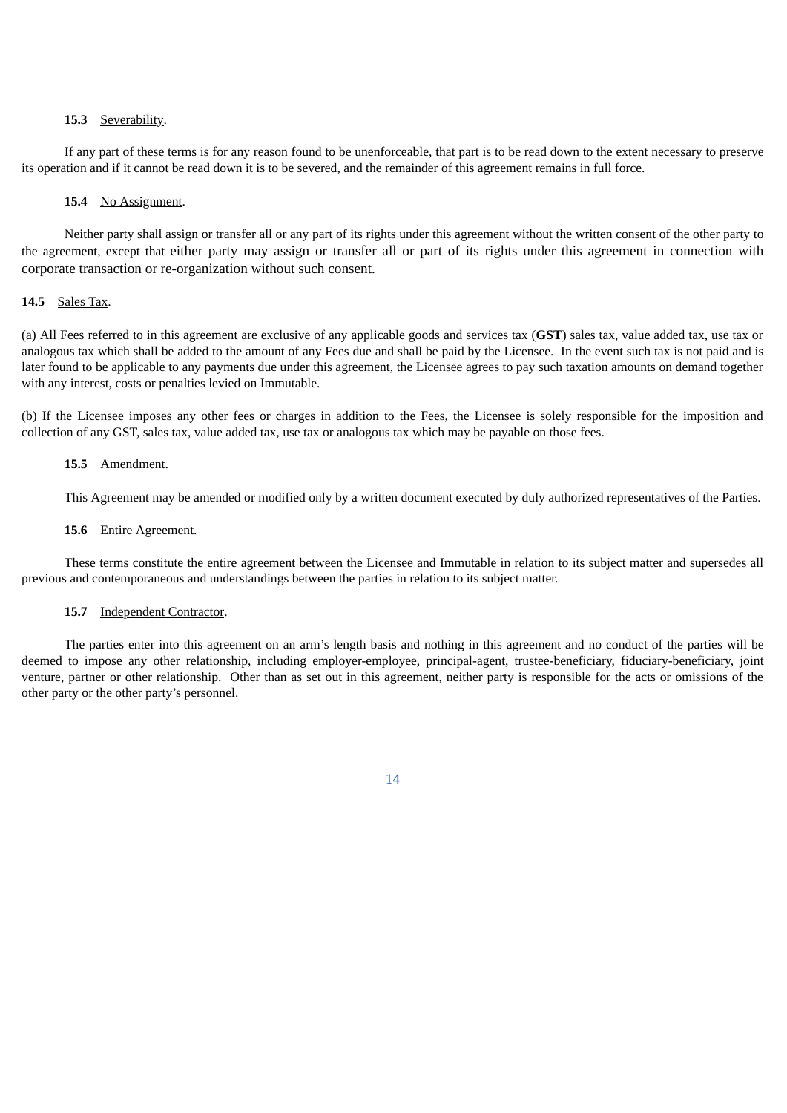#### **15.3** Severability.

If any part of these terms is for any reason found to be unenforceable, that part is to be read down to the extent necessary to preserve its operation and if it cannot be read down it is to be severed, and the remainder of this agreement remains in full force.

#### **15.4** No Assignment.

Neither party shall assign or transfer all or any part of its rights under this agreement without the written consent of the other party to the agreement, except that either party may assign or transfer all or part of its rights under this agreement in connection with corporate transaction or re-organization without such consent.

#### **14.5** Sales Tax.

(a) All Fees referred to in this agreement are exclusive of any applicable goods and services tax (**GST**) sales tax, value added tax, use tax or analogous tax which shall be added to the amount of any Fees due and shall be paid by the Licensee. In the event such tax is not paid and is later found to be applicable to any payments due under this agreement, the Licensee agrees to pay such taxation amounts on demand together with any interest, costs or penalties levied on Immutable.

(b) If the Licensee imposes any other fees or charges in addition to the Fees, the Licensee is solely responsible for the imposition and collection of any GST, sales tax, value added tax, use tax or analogous tax which may be payable on those fees.

#### **15.5** Amendment.

This Agreement may be amended or modified only by a written document executed by duly authorized representatives of the Parties.

#### **15.6** Entire Agreement.

These terms constitute the entire agreement between the Licensee and Immutable in relation to its subject matter and supersedes all previous and contemporaneous and understandings between the parties in relation to its subject matter.

#### 15.7 Independent Contractor.

The parties enter into this agreement on an arm's length basis and nothing in this agreement and no conduct of the parties will be deemed to impose any other relationship, including employer-employee, principal-agent, trustee-beneficiary, fiduciary-beneficiary, joint venture, partner or other relationship. Other than as set out in this agreement, neither party is responsible for the acts or omissions of the other party or the other party's personnel.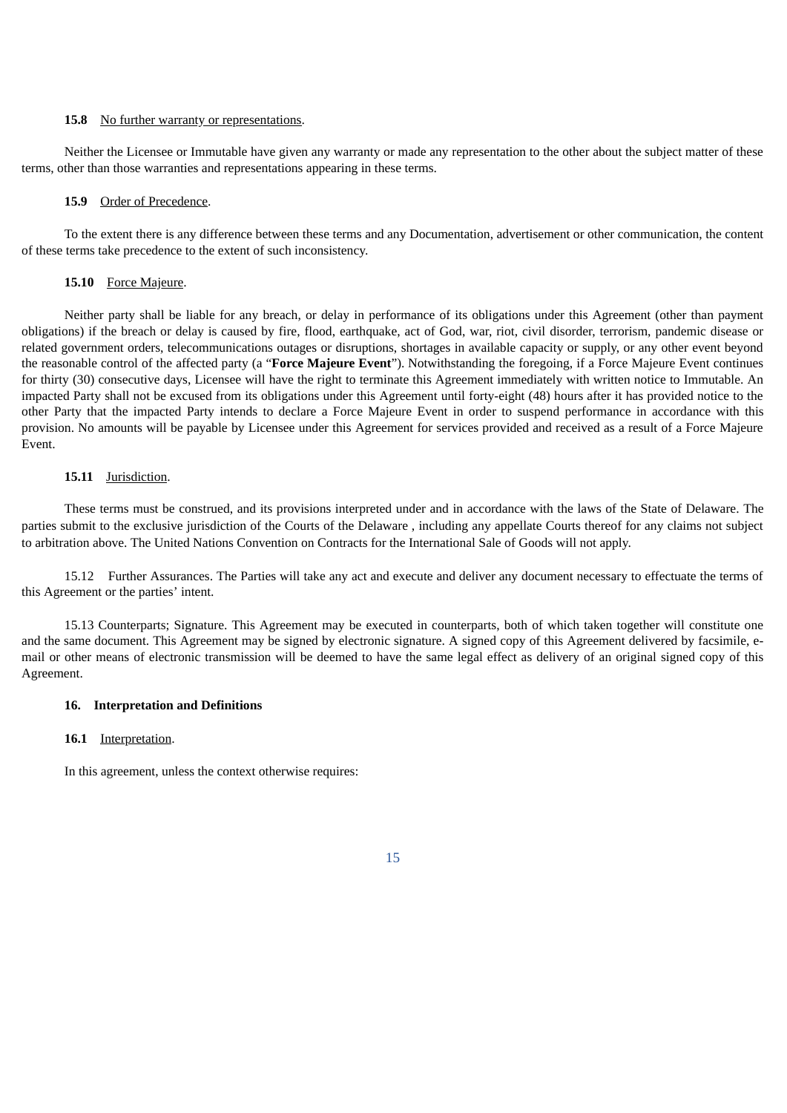#### **15.8** No further warranty or representations.

Neither the Licensee or Immutable have given any warranty or made any representation to the other about the subject matter of these terms, other than those warranties and representations appearing in these terms.

#### **15.9** Order of Precedence.

To the extent there is any difference between these terms and any Documentation, advertisement or other communication, the content of these terms take precedence to the extent of such inconsistency.

## **15.10** Force Majeure.

Neither party shall be liable for any breach, or delay in performance of its obligations under this Agreement (other than payment obligations) if the breach or delay is caused by fire, flood, earthquake, act of God, war, riot, civil disorder, terrorism, pandemic disease or related government orders, telecommunications outages or disruptions, shortages in available capacity or supply, or any other event beyond the reasonable control of the affected party (a "**Force Majeure Event**"). Notwithstanding the foregoing, if a Force Majeure Event continues for thirty (30) consecutive days, Licensee will have the right to terminate this Agreement immediately with written notice to Immutable. An impacted Party shall not be excused from its obligations under this Agreement until forty-eight (48) hours after it has provided notice to the other Party that the impacted Party intends to declare a Force Majeure Event in order to suspend performance in accordance with this provision. No amounts will be payable by Licensee under this Agreement for services provided and received as a result of a Force Majeure Event.

#### **15.11** Jurisdiction.

These terms must be construed, and its provisions interpreted under and in accordance with the laws of the State of Delaware. The parties submit to the exclusive jurisdiction of the Courts of the Delaware , including any appellate Courts thereof for any claims not subject to arbitration above. The United Nations Convention on Contracts for the International Sale of Goods will not apply.

15.12 Further Assurances. The Parties will take any act and execute and deliver any document necessary to effectuate the terms of this Agreement or the parties' intent.

15.13 Counterparts; Signature. This Agreement may be executed in counterparts, both of which taken together will constitute one and the same document. This Agreement may be signed by electronic signature. A signed copy of this Agreement delivered by facsimile, email or other means of electronic transmission will be deemed to have the same legal effect as delivery of an original signed copy of this Agreement.

#### **16. Interpretation and Definitions**

#### **16.1** Interpretation.

In this agreement, unless the context otherwise requires: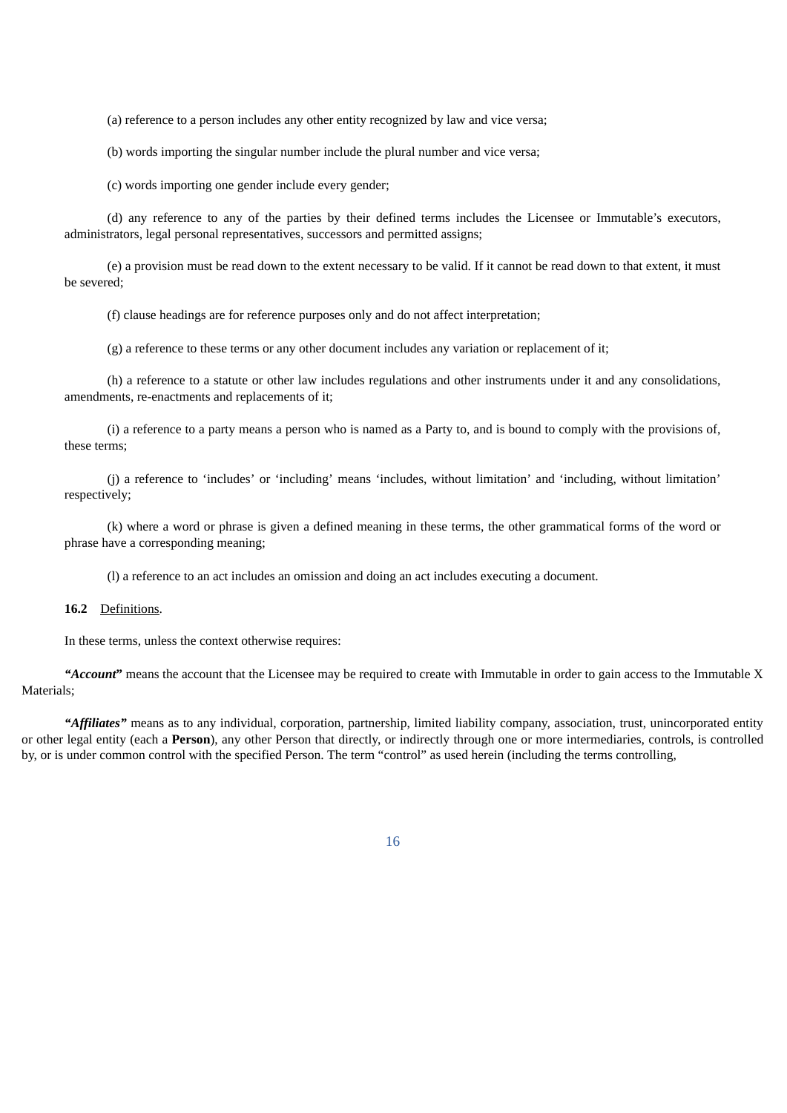(a) reference to a person includes any other entity recognized by law and vice versa;

(b) words importing the singular number include the plural number and vice versa;

(c) words importing one gender include every gender;

(d) any reference to any of the parties by their defined terms includes the Licensee or Immutable's executors, administrators, legal personal representatives, successors and permitted assigns;

(e) a provision must be read down to the extent necessary to be valid. If it cannot be read down to that extent, it must be severed;

(f) clause headings are for reference purposes only and do not affect interpretation;

(g) a reference to these terms or any other document includes any variation or replacement of it;

(h) a reference to a statute or other law includes regulations and other instruments under it and any consolidations, amendments, re-enactments and replacements of it;

(i) a reference to a party means a person who is named as a Party to, and is bound to comply with the provisions of, these terms;

(j) a reference to 'includes' or 'including' means 'includes, without limitation' and 'including, without limitation' respectively;

(k) where a word or phrase is given a defined meaning in these terms, the other grammatical forms of the word or phrase have a corresponding meaning;

(l) a reference to an act includes an omission and doing an act includes executing a document.

#### **16.2** Definitions.

In these terms, unless the context otherwise requires:

*"Account***"** means the account that the Licensee may be required to create with Immutable in order to gain access to the Immutable X Materials;

*"Affiliates"* means as to any individual, corporation, partnership, limited liability company, association, trust, unincorporated entity or other legal entity (each a **Person**), any other Person that directly, or indirectly through one or more intermediaries, controls, is controlled by, or is under common control with the specified Person. The term "control" as used herein (including the terms controlling,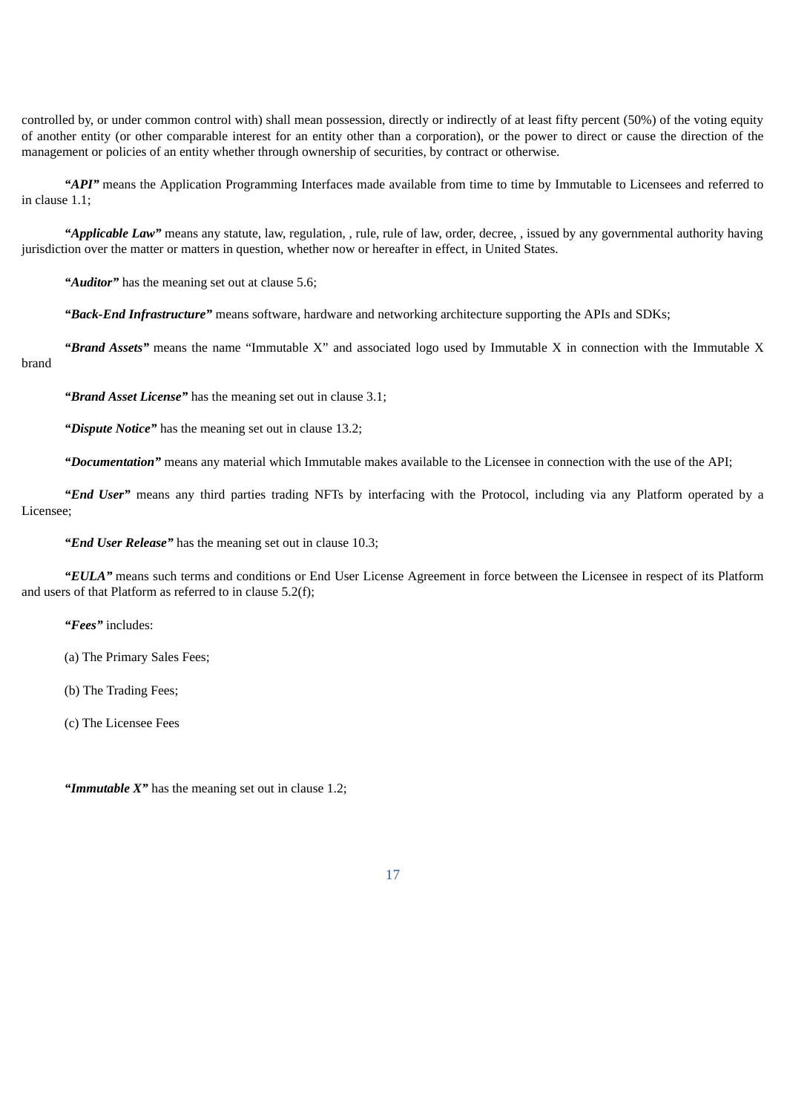controlled by, or under common control with) shall mean possession, directly or indirectly of at least fifty percent (50%) of the voting equity of another entity (or other comparable interest for an entity other than a corporation), or the power to direct or cause the direction of the management or policies of an entity whether through ownership of securities, by contract or otherwise.

*"API"* means the Application Programming Interfaces made available from time to time by Immutable to Licensees and referred to in clause 1.1;

*"Applicable Law"* means any statute, law, regulation, , rule, rule of law, order, decree, , issued by any governmental authority having jurisdiction over the matter or matters in question, whether now or hereafter in effect, in United States.

*"Auditor"* has the meaning set out at clause 5.6;

*"Back-End Infrastructure"* means software, hardware and networking architecture supporting the APIs and SDKs;

*"Brand Assets"* means the name "Immutable X" and associated logo used by Immutable X in connection with the Immutable X brand

*"Brand Asset License"* has the meaning set out in clause 3.1;

*"Dispute Notice"* has the meaning set out in clause 13.2;

*"Documentation"* means any material which Immutable makes available to the Licensee in connection with the use of the API;

*"End User"* means any third parties trading NFTs by interfacing with the Protocol, including via any Platform operated by a Licensee;

*"End User Release"* has the meaning set out in clause 10.3;

*"EULA"* means such terms and conditions or End User License Agreement in force between the Licensee in respect of its Platform and users of that Platform as referred to in clause 5.2(f);

*"Fees"* includes:

(a) The Primary Sales Fees;

(b) The Trading Fees;

(c) The Licensee Fees

*"Immutable X"* has the meaning set out in clause 1.2;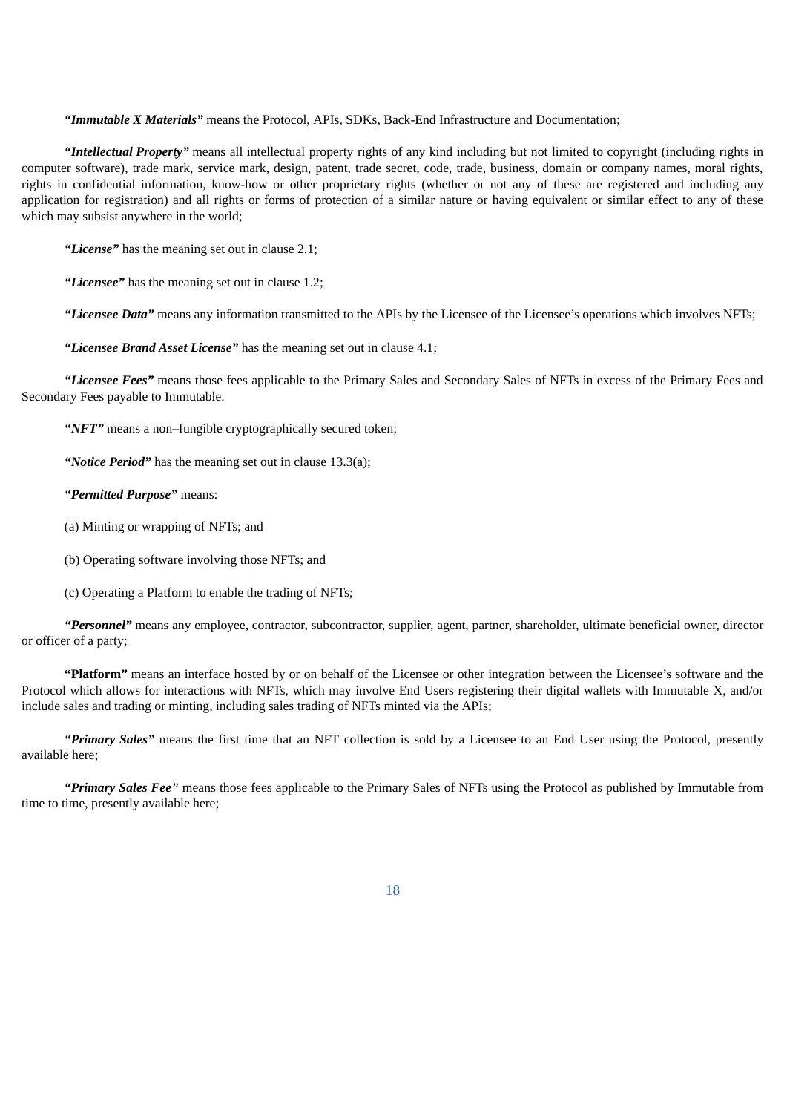*"Immutable X Materials"* means the Protocol, APIs, SDKs, Back-End Infrastructure and Documentation;

*"Intellectual Property"* means all intellectual property rights of any kind including but not limited to copyright (including rights in computer software), trade mark, service mark, design, patent, trade secret, code, trade, business, domain or company names, moral rights, rights in confidential information, know-how or other proprietary rights (whether or not any of these are registered and including any application for registration) and all rights or forms of protection of a similar nature or having equivalent or similar effect to any of these which may subsist anywhere in the world;

*"License"* has the meaning set out in clause 2.1;

*"Licensee"* has the meaning set out in clause 1.2;

*"Licensee Data"* means any information transmitted to the APIs by the Licensee of the Licensee's operations which involves NFTs;

*"Licensee Brand Asset License"* has the meaning set out in clause 4.1;

*"Licensee Fees"* means those fees applicable to the Primary Sales and Secondary Sales of NFTs in excess of the Primary Fees and Secondary Fees payable to Immutable.

*"NFT"* means a non–fungible cryptographically secured token;

*"Notice Period"* has the meaning set out in clause 13.3(a);

*"Permitted Purpose"* means:

(a) Minting or wrapping of NFTs; and

(b) Operating software involving those NFTs; and

(c) Operating a Platform to enable the trading of NFTs;

*"Personnel"* means any employee, contractor, subcontractor, supplier, agent, partner, shareholder, ultimate beneficial owner, director or officer of a party;

**"Platform"** means an interface hosted by or on behalf of the Licensee or other integration between the Licensee's software and the Protocol which allows for interactions with NFTs, which may involve End Users registering their digital wallets with Immutable X, and/or include sales and trading or minting, including sales trading of NFTs minted via the APIs;

*"Primary Sales"* means the first time that an NFT collection is sold by a Licensee to an End User using the Protocol, presently available here;

*"Primary Sales Fee"* means those fees applicable to the Primary Sales of NFTs using the Protocol as published by Immutable from time to time, presently available here;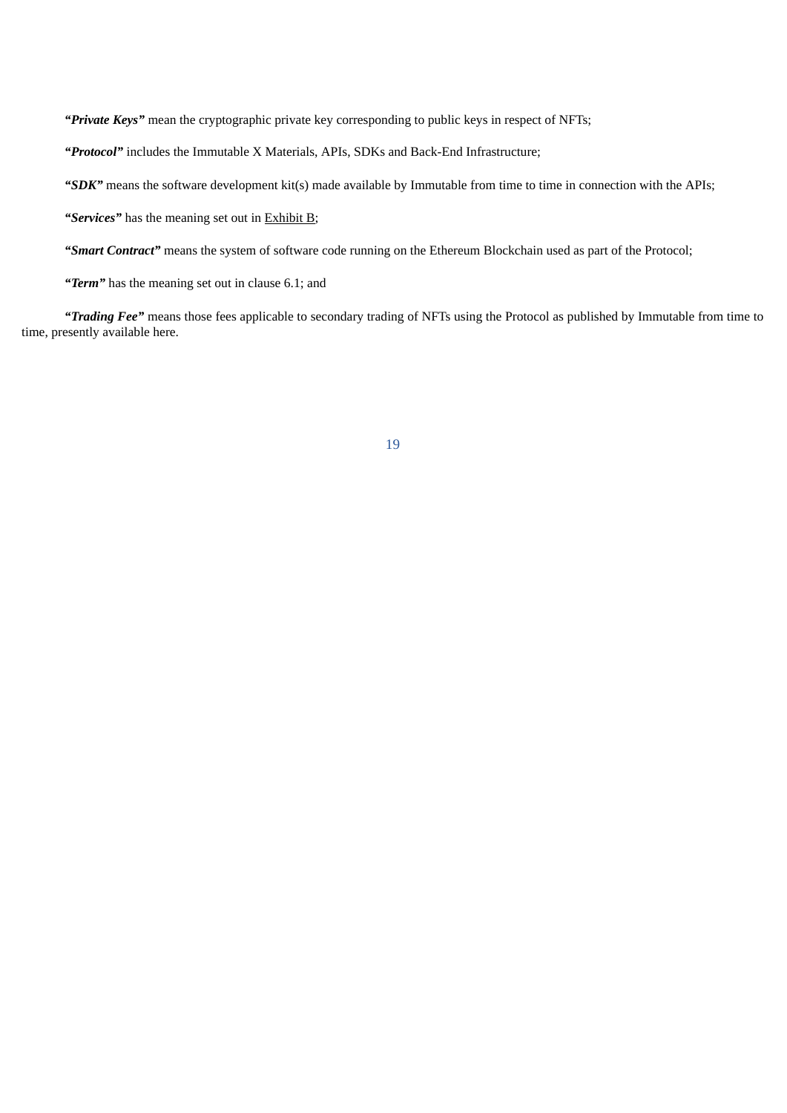*"Private Keys"* mean the cryptographic private key corresponding to public keys in respect of NFTs;

*"Protocol"* includes the Immutable X Materials, APIs, SDKs and Back-End Infrastructure;

*"SDK"* means the software development kit(s) made available by Immutable from time to time in connection with the APIs;

*"Services"* has the meaning set out in Exhibit B;

*"Smart Contract"* means the system of software code running on the Ethereum Blockchain used as part of the Protocol;

*"Term"* has the meaning set out in clause 6.1; and

*"Trading Fee"* means those fees applicable to secondary trading of NFTs using the Protocol as published by Immutable from time to time, presently available here.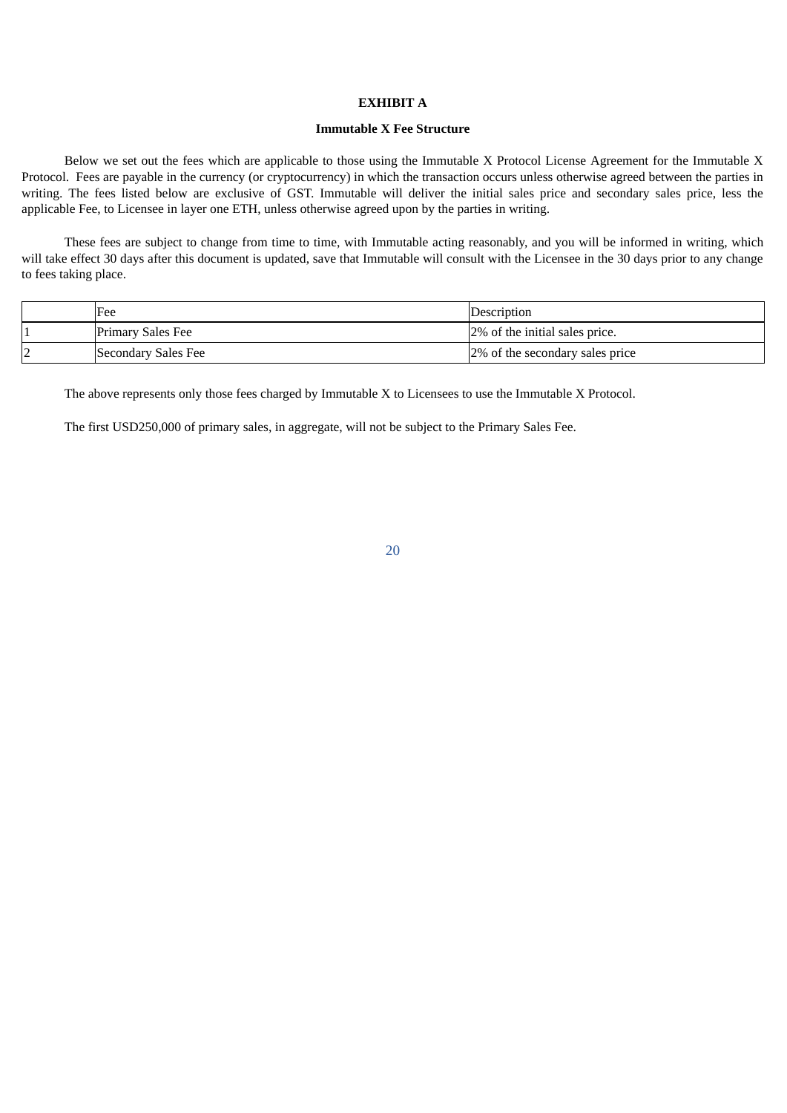## **EXHIBIT A**

#### **Immutable X Fee Structure**

Below we set out the fees which are applicable to those using the Immutable X Protocol License Agreement for the Immutable X Protocol. Fees are payable in the currency (or cryptocurrency) in which the transaction occurs unless otherwise agreed between the parties in writing. The fees listed below are exclusive of GST. Immutable will deliver the initial sales price and secondary sales price, less the applicable Fee, to Licensee in layer one ETH, unless otherwise agreed upon by the parties in writing.

These fees are subject to change from time to time, with Immutable acting reasonably, and you will be informed in writing, which will take effect 30 days after this document is updated, save that Immutable will consult with the Licensee in the 30 days prior to any change to fees taking place.

|         | Fee                 | Description                     |
|---------|---------------------|---------------------------------|
|         | Primary Sales Fee   | 2% of the initial sales price.  |
| רו<br>L | Secondary Sales Fee | 2% of the secondary sales price |

The above represents only those fees charged by Immutable X to Licensees to use the Immutable X Protocol.

The first USD250,000 of primary sales, in aggregate, will not be subject to the Primary Sales Fee.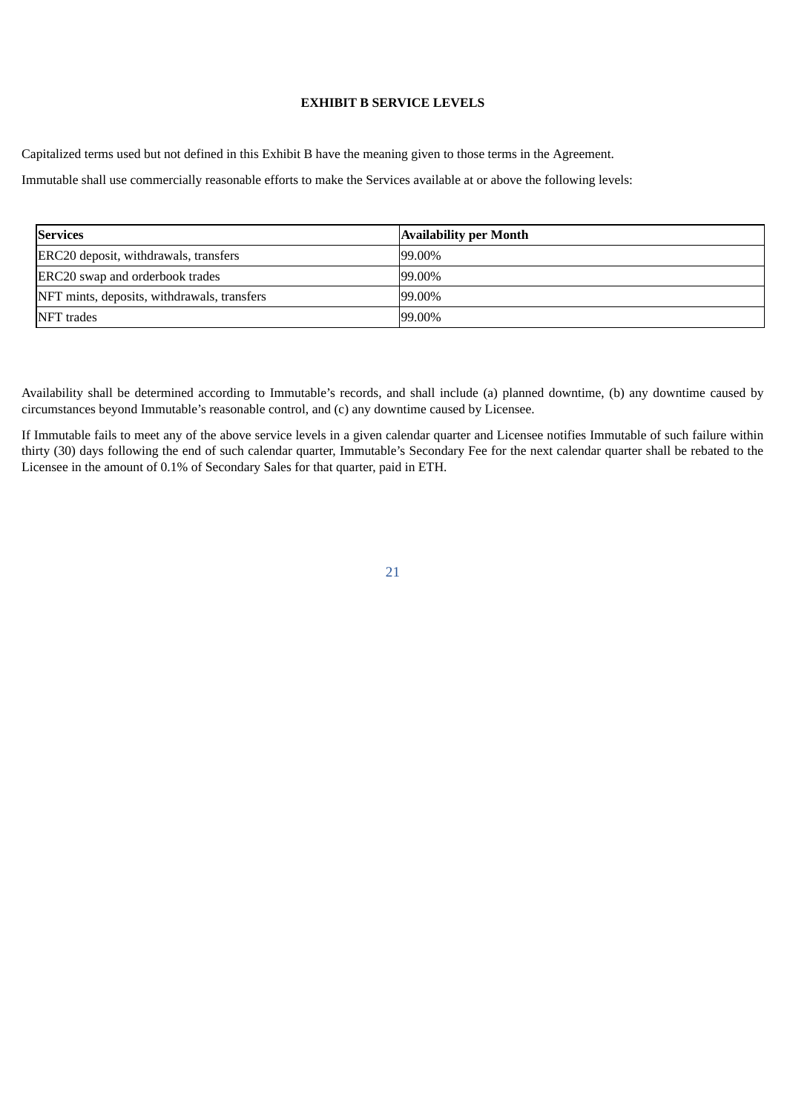## **EXHIBIT B SERVICE LEVELS**

Capitalized terms used but not defined in this Exhibit B have the meaning given to those terms in the Agreement.

Immutable shall use commercially reasonable efforts to make the Services available at or above the following levels:

| <b>Services</b>                             | <b>Availability per Month</b> |
|---------------------------------------------|-------------------------------|
| ERC20 deposit, withdrawals, transfers       | 99.00%                        |
| ERC20 swap and orderbook trades             | $99.00\%$                     |
| NFT mints, deposits, withdrawals, transfers | $99.00\%$                     |
| NFT trades                                  | 99.00%                        |

Availability shall be determined according to Immutable's records, and shall include (a) planned downtime, (b) any downtime caused by circumstances beyond Immutable's reasonable control, and (c) any downtime caused by Licensee.

If Immutable fails to meet any of the above service levels in a given calendar quarter and Licensee notifies Immutable of such failure within thirty (30) days following the end of such calendar quarter, Immutable's Secondary Fee for the next calendar quarter shall be rebated to the Licensee in the amount of 0.1% of Secondary Sales for that quarter, paid in ETH.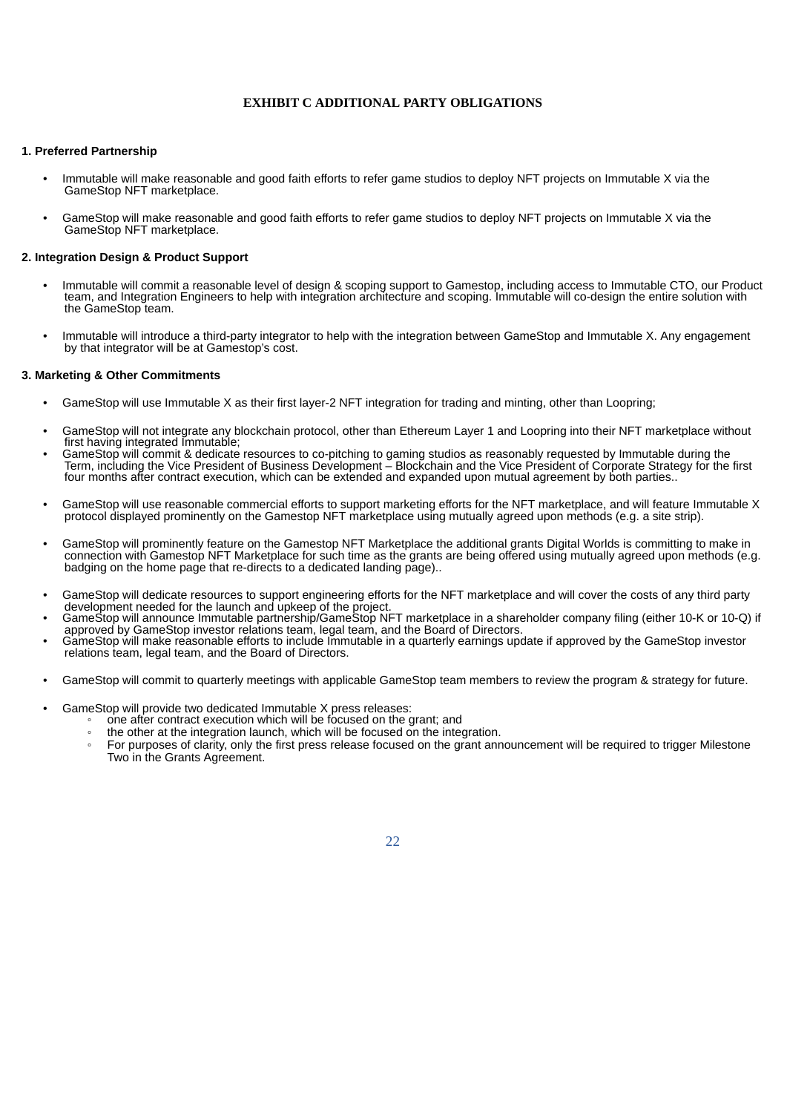#### **EXHIBIT C ADDITIONAL PARTY OBLIGATIONS**

#### **1. Preferred Partnership**

- Immutable will make reasonable and good faith efforts to refer game studios to deploy NFT projects on Immutable X via the GameStop NFT marketplace.
- GameStop will make reasonable and good faith efforts to refer game studios to deploy NFT projects on Immutable X via the GameStop NFT marketplace.

#### **2. Integration Design & Product Support**

- Immutable will commit a reasonable level of design & scoping support to Gamestop, including access to Immutable CTO, our Product team, and Integration Engineers to help with integration architecture and scoping. Immutable will co-design the entire solution with the GameStop team.
- Immutable will introduce a third-party integrator to help with the integration between GameStop and Immutable X. Any engagement by that integrator will be at Gamestop's cost.

#### **3. Marketing & Other Commitments**

- GameStop will use Immutable X as their first layer-2 NFT integration for trading and minting, other than Loopring;
- GameStop will not integrate any blockchain protocol, other than Ethereum Layer 1 and Loopring into their NFT marketplace without first having integrated Immutable;
- GameStop will commit & dedicate resources to co-pitching to gaming studios as reasonably requested by Immutable during the Term, including the Vice President of Business Development – Blockchain and the Vice President of Corporate Strategy for the first four months after contract execution, which can be extended and expanded upon mutual agreement by both parties..
- GameStop will use reasonable commercial efforts to support marketing efforts for the NFT marketplace, and will feature Immutable X protocol displayed prominently on the Gamestop NFT marketplace using mutually agreed upon methods (e.g. a site strip).
- GameStop will prominently feature on the Gamestop NFT Marketplace the additional grants Digital Worlds is committing to make in connection with Gamestop NFT Marketplace for such time as the grants are being offered using mutually agreed upon methods (e.g. badging on the home page that re-directs to a dedicated landing page)..
- GameStop will dedicate resources to support engineering efforts for the NFT marketplace and will cover the costs of any third party development needed for the launch and upkeep of the project.
- GameStop will announce Immutable partnership/GameStop NFT marketplace in a shareholder company filing (either 10-K or 10-Q) if approved by GameStop investor relations team, legal team, and the Board of Directors.
- GameStop will make reasonable efforts to include Immutable in a quarterly earnings update if approved by the GameStop investor relations team, legal team, and the Board of Directors.
- GameStop will commit to quarterly meetings with applicable GameStop team members to review the program & strategy for future.
- GameStop will provide two dedicated Immutable X press releases:
	- one after contract execution which will be focused on the grant; and
		- the other at the integration launch, which will be focused on the integration.
		- For purposes of clarity, only the first press release focused on the grant announcement will be required to trigger Milestone Two in the Grants Agreement.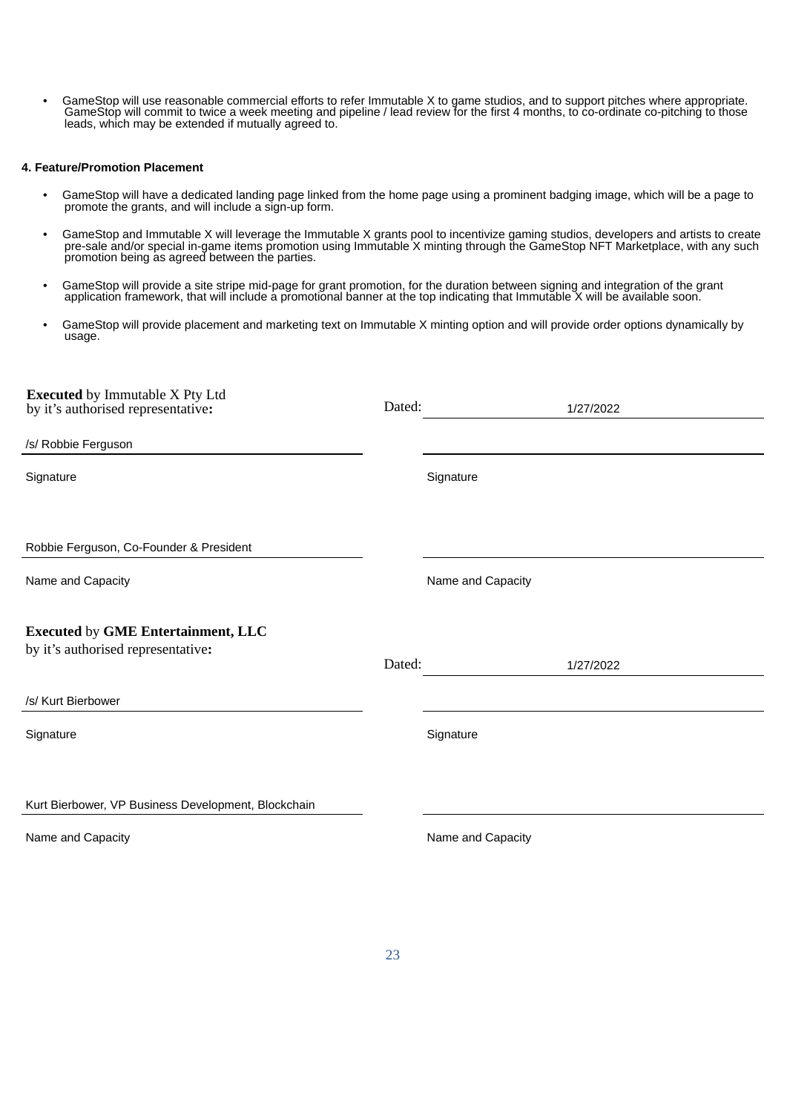• GameStop will use reasonable commercial efforts to refer Immutable X to game studios, and to support pitches where appropriate. GameStop will commit to twice a week meeting and pipeline / lead review for the first 4 months, to co-ordinate co-pitching to those leads, which may be extended if mutually agreed to.

#### **4. Feature/Promotion Placement**

- GameStop will have a dedicated landing page linked from the home page using a prominent badging image, which will be a page to promote the grants, and will include a sign-up form.
- GameStop and Immutable X will leverage the Immutable X grants pool to incentivize gaming studios, developers and artists to create pre-sale and/or special in-game items promotion using Immutable X minting through the GameStop NFT Marketplace, with any such promotion being as agreed between the parties.
- GameStop will provide a site stripe mid-page for grant promotion, for the duration between signing and integration of the grant application framework, that will include a promotional banner at the top indicating that Immutable X will be available soon.
- GameStop will provide placement and marketing text on Immutable X minting option and will provide order options dynamically by usage.

| <b>Executed</b> by Immutable X Pty Ltd<br>by it's authorised representative:    | Dated: |                   | 1/27/2022 |
|---------------------------------------------------------------------------------|--------|-------------------|-----------|
| /s/ Robbie Ferguson                                                             |        |                   |           |
| Signature                                                                       |        | Signature         |           |
| Robbie Ferguson, Co-Founder & President                                         |        |                   |           |
| Name and Capacity                                                               |        | Name and Capacity |           |
| <b>Executed by GME Entertainment, LLC</b><br>by it's authorised representative: | Dated: |                   | 1/27/2022 |
| /s/ Kurt Bierbower                                                              |        |                   |           |
| Signature                                                                       |        | Signature         |           |
| Kurt Bierbower, VP Business Development, Blockchain                             |        |                   |           |
| Name and Capacity                                                               |        | Name and Capacity |           |
|                                                                                 |        |                   |           |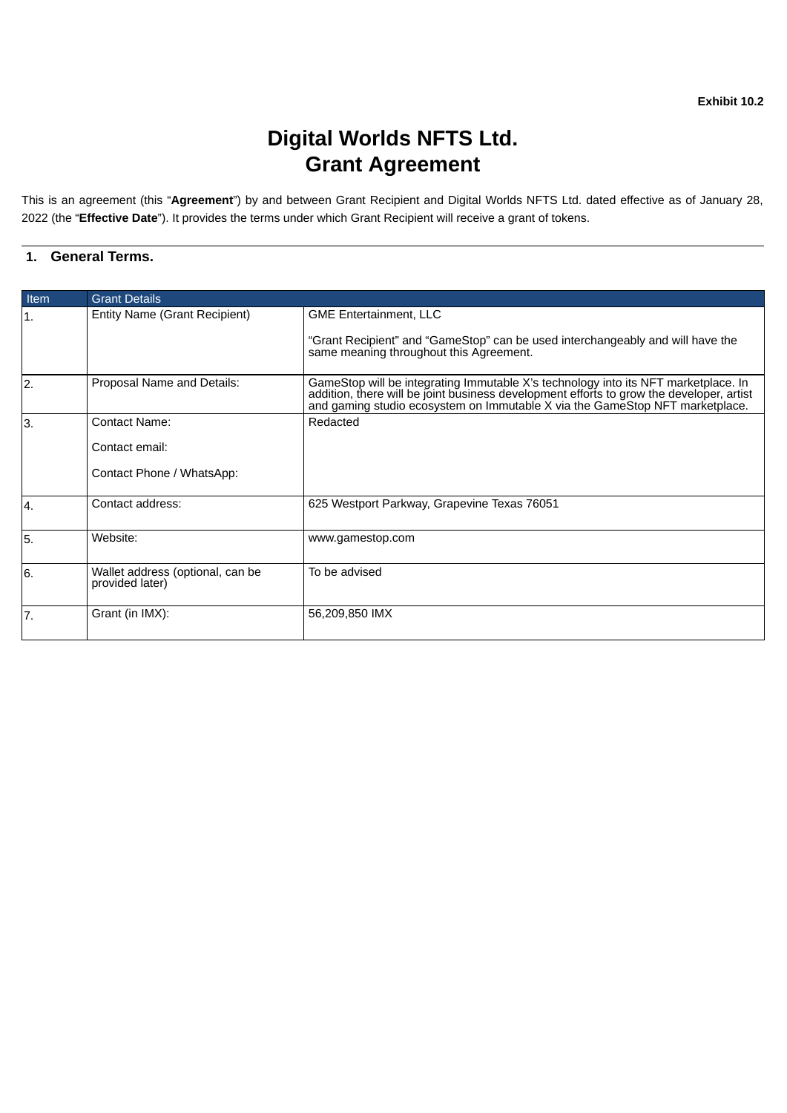# **Digital Worlds NFTS Ltd. Grant Agreement**

<span id="page-26-0"></span>This is an agreement (this "**Agreement**") by and between Grant Recipient and Digital Worlds NFTS Ltd. dated effective as of January 28, 2022 (the "**Effective Date**"). It provides the terms under which Grant Recipient will receive a grant of tokens.

## **1. General Terms.**

| Item           | <b>Grant Details</b>                                                |                                                                                                                                                                                                                                                                |  |
|----------------|---------------------------------------------------------------------|----------------------------------------------------------------------------------------------------------------------------------------------------------------------------------------------------------------------------------------------------------------|--|
| 1.             | Entity Name (Grant Recipient)                                       | <b>GME Entertainment, LLC</b><br>"Grant Recipient" and "GameStop" can be used interchangeably and will have the<br>same meaning throughout this Agreement.                                                                                                     |  |
| $\overline{2}$ | Proposal Name and Details:                                          | GameStop will be integrating Immutable X's technology into its NFT marketplace. In<br>addition, there will be joint business development efforts to grow the developer, artist<br>and gaming studio ecosystem on Immutable X via the GameStop NFT marketplace. |  |
| 3.             | <b>Contact Name:</b><br>Contact email:<br>Contact Phone / WhatsApp: | Redacted                                                                                                                                                                                                                                                       |  |
| Ι4.            | Contact address:                                                    | 625 Westport Parkway, Grapevine Texas 76051                                                                                                                                                                                                                    |  |
| 5.             | Website:                                                            | www.gamestop.com                                                                                                                                                                                                                                               |  |
| 6.             | Wallet address (optional, can be<br>provided later)                 | To be advised                                                                                                                                                                                                                                                  |  |
| 7.             | Grant (in IMX):                                                     | 56,209,850 IMX                                                                                                                                                                                                                                                 |  |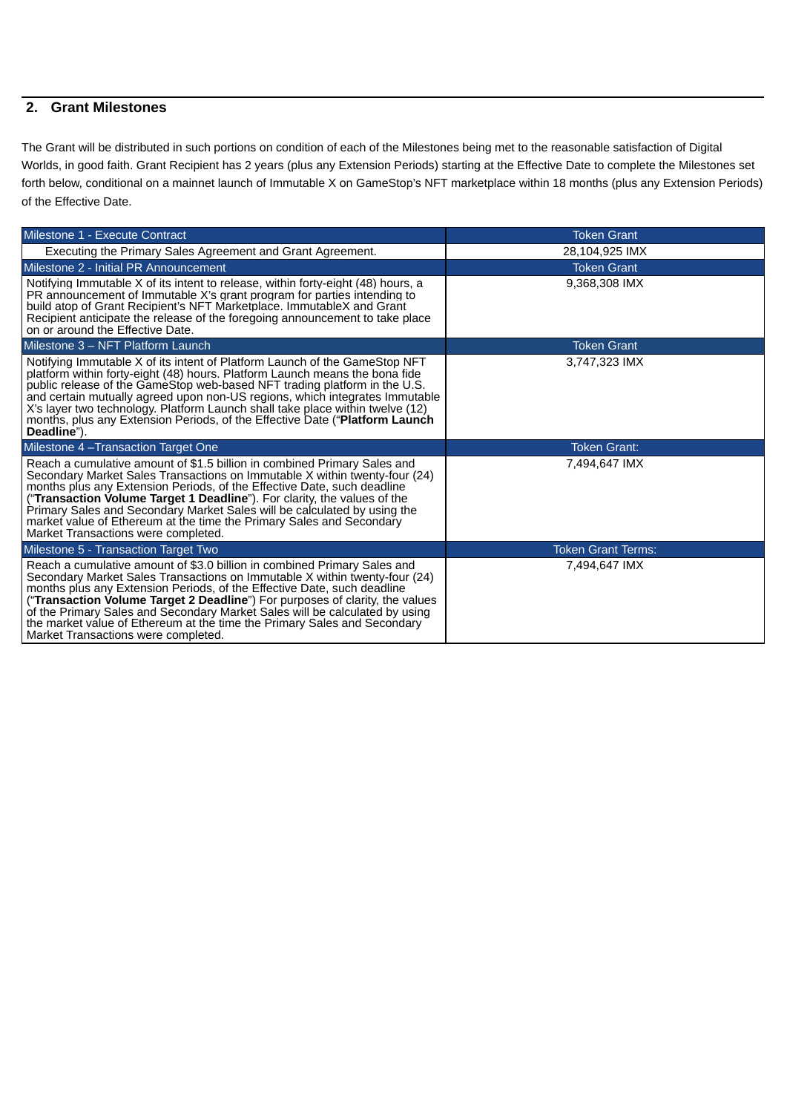## **2. Grant Milestones**

The Grant will be distributed in such portions on condition of each of the Milestones being met to the reasonable satisfaction of Digital Worlds, in good faith. Grant Recipient has 2 years (plus any Extension Periods) starting at the Effective Date to complete the Milestones set forth below, conditional on a mainnet launch of Immutable X on GameStop's NFT marketplace within 18 months (plus any Extension Periods) of the Effective Date.

| Milestone 1 - Execute Contract                                                                                                                                                                                                                                                                                                                                                                                                                                                                           | <b>Token Grant</b>        |
|----------------------------------------------------------------------------------------------------------------------------------------------------------------------------------------------------------------------------------------------------------------------------------------------------------------------------------------------------------------------------------------------------------------------------------------------------------------------------------------------------------|---------------------------|
| Executing the Primary Sales Agreement and Grant Agreement.                                                                                                                                                                                                                                                                                                                                                                                                                                               | 28,104,925 IMX            |
| Milestone 2 - Initial PR Announcement                                                                                                                                                                                                                                                                                                                                                                                                                                                                    | <b>Token Grant</b>        |
| Notifying Immutable X of its intent to release, within forty-eight (48) hours, a<br>PR announcement of Immutable X's grant program for parties intending to<br>build atop of Grant Recipient's NFT Marketplace. ImmutableX and Grant<br>Recipient anticipate the release of the foregoing announcement to take place<br>on or around the Effective Date.                                                                                                                                                 | 9,368,308 IMX             |
| Milestone 3 - NFT Platform Launch                                                                                                                                                                                                                                                                                                                                                                                                                                                                        | <b>Token Grant</b>        |
| Notifying Immutable X of its intent of Platform Launch of the GameStop NFT<br>platform within forty-eight (48) hours. Platform Launch means the bona fide<br>public release of the GameStop web-based NFT trading platform in the U.S.<br>and certain mutually agreed upon non-US regions, which integrates Immutable<br>X's layer two technology. Platform Launch shall take place within twelve (12)<br>months, plus any Extension Periods, of the Effective Date ("Platform Launch<br>Deadline").     | 3,747,323 IMX             |
| Milestone 4 - Transaction Target One                                                                                                                                                                                                                                                                                                                                                                                                                                                                     | <b>Token Grant:</b>       |
| Reach a cumulative amount of \$1.5 billion in combined Primary Sales and<br>Secondary Market Sales Transactions on Immutable X within twenty-four (24)<br>months plus any Extension Periods, of the Effective Date, such deadline<br>("Transaction Volume Target 1 Deadline"). For clarity, the values of the<br>Primary Sales and Secondary Market Sales will be calculated by using the<br>market value of Ethereum at the time the Primary Sales and Secondary<br>Market Transactions were completed. | 7,494,647 IMX             |
| Milestone 5 - Transaction Target Two                                                                                                                                                                                                                                                                                                                                                                                                                                                                     | <b>Token Grant Terms:</b> |
| Reach a cumulative amount of \$3.0 billion in combined Primary Sales and<br>Secondary Market Sales Transactions on Immutable X within twenty-four (24)<br>months plus any Extension Periods, of the Effective Date, such deadline<br>("Transaction Volume Target 2 Deadline") For purposes of clarity, the values<br>of the Primary Sales and Secondary Market Sales will be calculated by using<br>the market value of Ethereum at the time the Primary Sales and Secondary                             | 7,494,647 IMX             |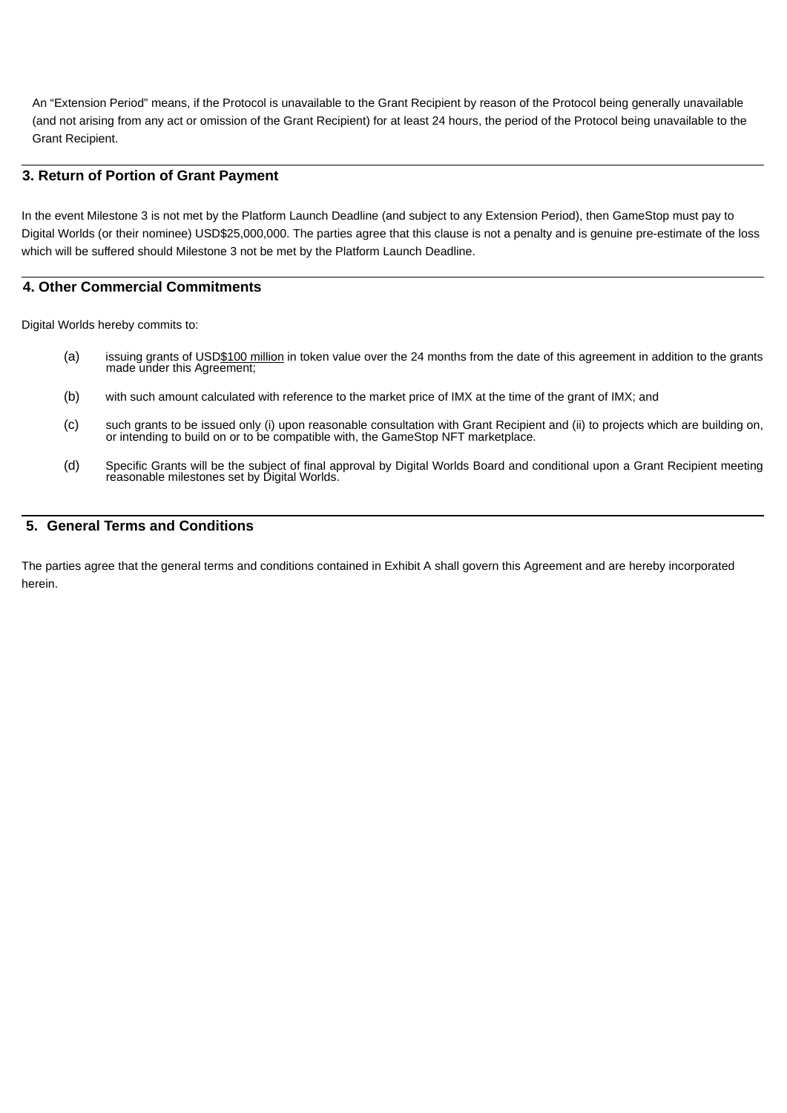An "Extension Period" means, if the Protocol is unavailable to the Grant Recipient by reason of the Protocol being generally unavailable (and not arising from any act or omission of the Grant Recipient) for at least 24 hours, the period of the Protocol being unavailable to the Grant Recipient.

## **3. Return of Portion of Grant Payment**

In the event Milestone 3 is not met by the Platform Launch Deadline (and subject to any Extension Period), then GameStop must pay to Digital Worlds (or their nominee) USD\$25,000,000. The parties agree that this clause is not a penalty and is genuine pre-estimate of the loss which will be suffered should Milestone 3 not be met by the Platform Launch Deadline.

## **4. Other Commercial Commitments**

Digital Worlds hereby commits to:

- (a) issuing grants of USD\$100 million in token value over the 24 months from the date of this agreement in addition to the grants made under this Agreement;
- (b) with such amount calculated with reference to the market price of IMX at the time of the grant of IMX; and
- (c) such grants to be issued only (i) upon reasonable consultation with Grant Recipient and (ii) to projects which are building on, or intending to build on or to be compatible with, the GameStop NFT marketplace.
- (d) Specific Grants will be the subject of final approval by Digital Worlds Board and conditional upon a Grant Recipient meeting reasonable milestones set by Digital Worlds.

### **5. General Terms and Conditions**

The parties agree that the general terms and conditions contained in Exhibit A shall govern this Agreement and are hereby incorporated herein.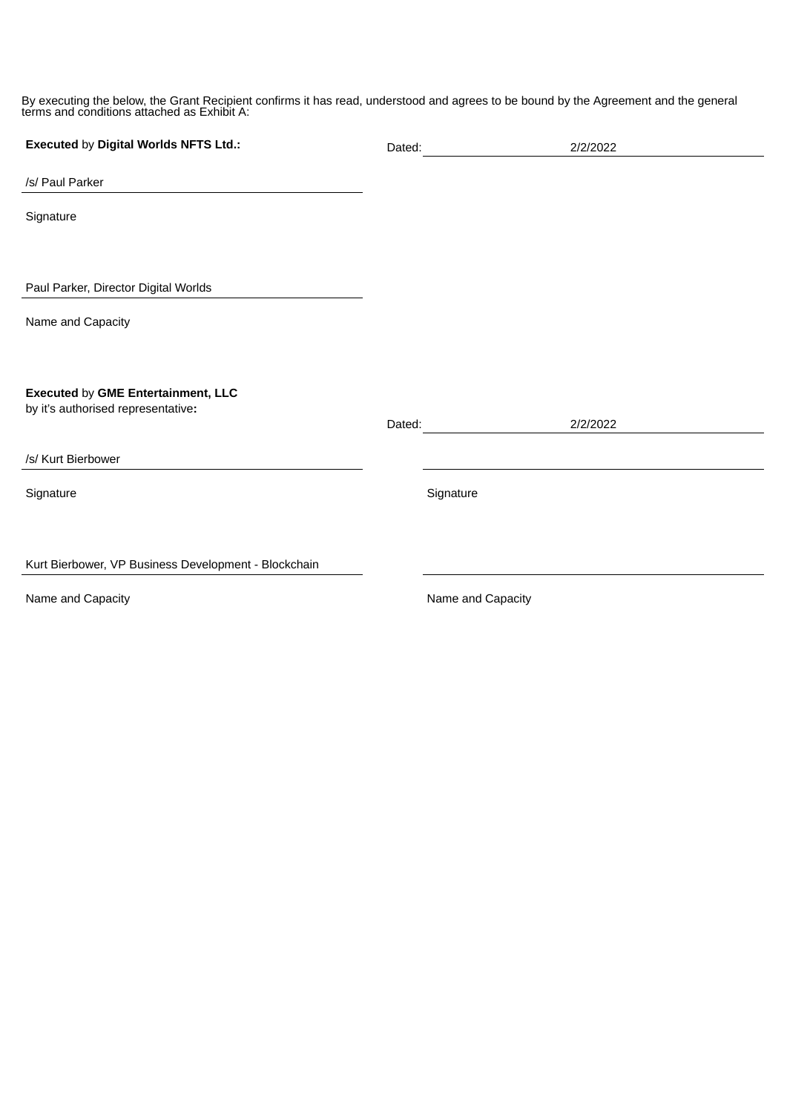By executing the below, the Grant Recipient confirms it has read, understood and agrees to be bound by the Agreement and the general terms and conditions attached as Exhibit A:

| Executed by Digital Worlds NFTS Ltd.:                                           | Dated: | 2/2/2022          |
|---------------------------------------------------------------------------------|--------|-------------------|
| /s/ Paul Parker                                                                 |        |                   |
| Signature                                                                       |        |                   |
|                                                                                 |        |                   |
| Paul Parker, Director Digital Worlds                                            |        |                   |
| Name and Capacity                                                               |        |                   |
|                                                                                 |        |                   |
| <b>Executed by GME Entertainment, LLC</b><br>by it's authorised representative: |        |                   |
|                                                                                 | Dated: | 2/2/2022          |
| /s/ Kurt Bierbower                                                              |        |                   |
| Signature                                                                       |        | Signature         |
|                                                                                 |        |                   |
| Kurt Bierbower, VP Business Development - Blockchain                            |        |                   |
| Name and Capacity                                                               |        | Name and Capacity |